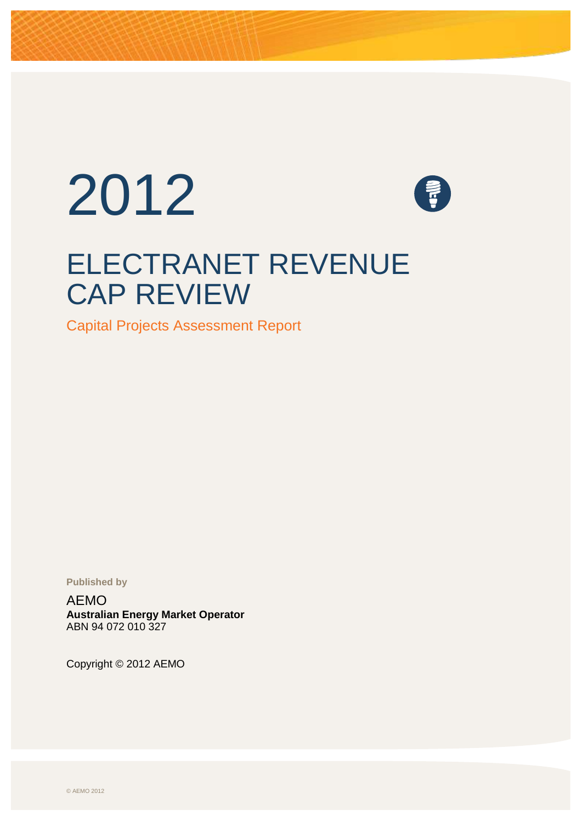# 2012



# ELECTRANET REVENUE CAP REVIEW

Capital Projects Assessment Report

**Published by**

AEMO **Australian Energy Market Operator** ABN 94 072 010 327

Copyright © 2012 AEMO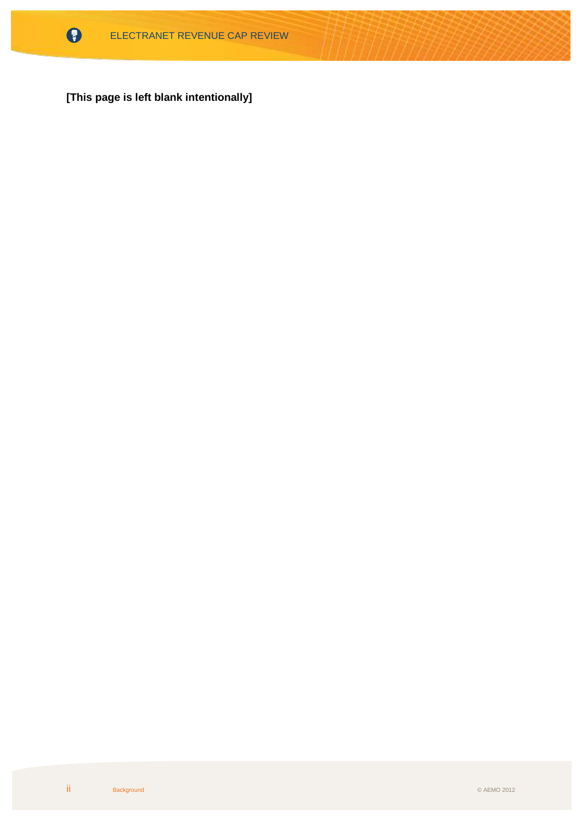**[This page is left blank intentionally]**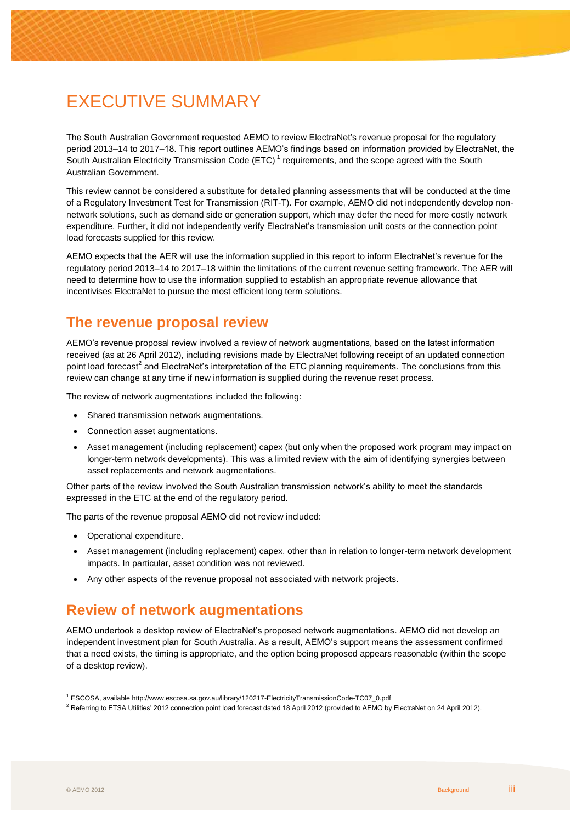# <span id="page-2-0"></span>EXECUTIVE SUMMARY

The South Australian Government requested AEMO to review ElectraNet's revenue proposal for the regulatory period 2013–14 to 2017–18. This report outlines AEMO's findings based on information provided by ElectraNet, the South Australian Electricity Transmission Code (ETC)<sup>1</sup> requirements, and the scope agreed with the South Australian Government.

This review cannot be considered a substitute for detailed planning assessments that will be conducted at the time of a Regulatory Investment Test for Transmission (RIT-T). For example, AEMO did not independently develop nonnetwork solutions, such as demand side or generation support, which may defer the need for more costly network expenditure. Further, it did not independently verify ElectraNet's transmission unit costs or the connection point load forecasts supplied for this review.

AEMO expects that the AER will use the information supplied in this report to inform ElectraNet's revenue for the regulatory period 2013–14 to 2017–18 within the limitations of the current revenue setting framework. The AER will need to determine how to use the information supplied to establish an appropriate revenue allowance that incentivises ElectraNet to pursue the most efficient long term solutions.

### **The revenue proposal review**

AEMO's revenue proposal review involved a review of network augmentations, based on the latest information received (as at 26 April 2012), including revisions made by ElectraNet following receipt of an updated connection point load forecast<sup>2</sup> and ElectraNet's interpretation of the ETC planning requirements. The conclusions from this review can change at any time if new information is supplied during the revenue reset process.

The review of network augmentations included the following:

- Shared transmission network augmentations.
- Connection asset augmentations.
- Asset management (including replacement) capex (but only when the proposed work program may impact on longer-term network developments). This was a limited review with the aim of identifying synergies between asset replacements and network augmentations.

Other parts of the review involved the South Australian transmission network's ability to meet the standards expressed in the ETC at the end of the regulatory period.

The parts of the revenue proposal AEMO did not review included:

- Operational expenditure.
- Asset management (including replacement) capex, other than in relation to longer-term network development impacts. In particular, asset condition was not reviewed.
- Any other aspects of the revenue proposal not associated with network projects.

### **Review of network augmentations**

AEMO undertook a desktop review of ElectraNet's proposed network augmentations. AEMO did not develop an independent investment plan for South Australia. As a result, AEMO's support means the assessment confirmed that a need exists, the timing is appropriate, and the option being proposed appears reasonable (within the scope of a desktop review).

<sup>1</sup> ESCOSA, available http://www.escosa.sa.gov.au/library/120217-ElectricityTransmissionCode-TC07\_0.pdf

 $2$  Referring to ETSA Utilities' 2012 connection point load forecast dated 18 April 2012 (provided to AEMO by ElectraNet on 24 April 2012).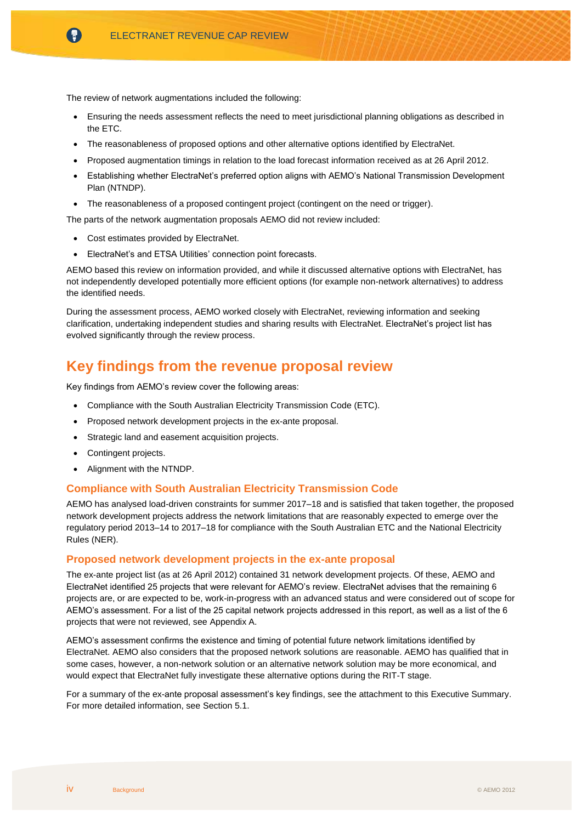G

The review of network augmentations included the following:

- Ensuring the needs assessment reflects the need to meet jurisdictional planning obligations as described in the ETC.
- The reasonableness of proposed options and other alternative options identified by ElectraNet.
- Proposed augmentation timings in relation to the load forecast information received as at 26 April 2012.
- Establishing whether ElectraNet's preferred option aligns with AEMO's National Transmission Development Plan (NTNDP).
- The reasonableness of a proposed contingent project (contingent on the need or trigger).

The parts of the network augmentation proposals AEMO did not review included:

- Cost estimates provided by ElectraNet.
- ElectraNet's and ETSA Utilities' connection point forecasts.

AEMO based this review on information provided, and while it discussed alternative options with ElectraNet, has not independently developed potentially more efficient options (for example non-network alternatives) to address the identified needs.

During the assessment process, AEMO worked closely with ElectraNet, reviewing information and seeking clarification, undertaking independent studies and sharing results with ElectraNet. ElectraNet's project list has evolved significantly through the review process.

### **Key findings from the revenue proposal review**

Key findings from AEMO's review cover the following areas:

- Compliance with the South Australian Electricity Transmission Code (ETC).
- Proposed network development projects in the ex-ante proposal.
- Strategic land and easement acquisition projects.
- Contingent projects.
- Alignment with the NTNDP.

#### **Compliance with South Australian Electricity Transmission Code**

AEMO has analysed load-driven constraints for summer 2017–18 and is satisfied that taken together, the proposed network development projects address the network limitations that are reasonably expected to emerge over the regulatory period 2013–14 to 2017–18 for compliance with the South Australian ETC and the National Electricity Rules (NER).

#### **Proposed network development projects in the ex-ante proposal**

The ex-ante project list (as at 26 April 2012) contained 31 network development projects. Of these, AEMO and ElectraNet identified 25 projects that were relevant for AEMO's review. ElectraNet advises that the remaining 6 projects are, or are expected to be, work-in-progress with an advanced status and were considered out of scope for AEMO's assessment. For a list of the 25 capital network projects addressed in this report, as well as a list of the 6 projects that were not reviewed, see Appendix A.

AEMO's assessment confirms the existence and timing of potential future network limitations identified by ElectraNet. AEMO also considers that the proposed network solutions are reasonable. AEMO has qualified that in some cases, however, a non-network solution or an alternative network solution may be more economical, and would expect that ElectraNet fully investigate these alternative options during the RIT-T stage.

For a summary of the ex-ante proposal assessment's key findings, see the attachment to this Executive Summary. For more detailed information, see Section [5.1.](#page-16-0)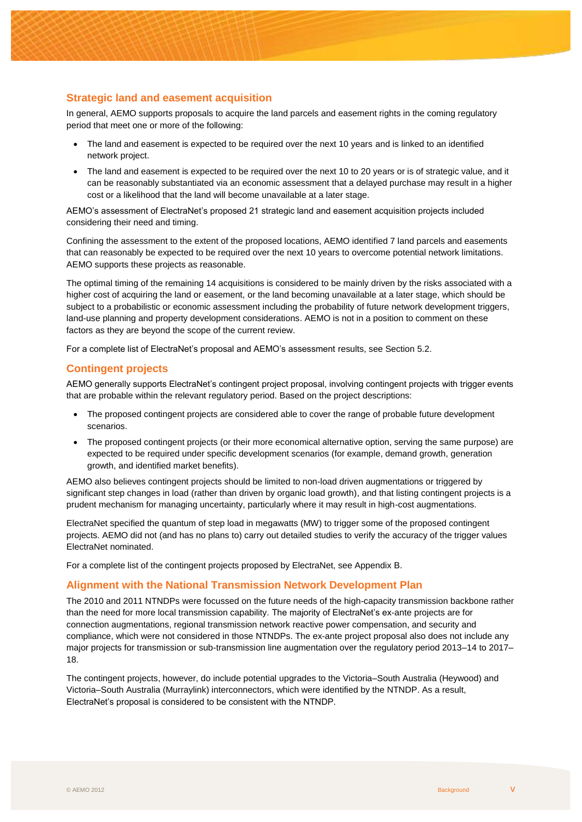#### **Strategic land and easement acquisition**

In general, AEMO supports proposals to acquire the land parcels and easement rights in the coming regulatory period that meet one or more of the following:

- The land and easement is expected to be required over the next 10 years and is linked to an identified network project.
- The land and easement is expected to be required over the next 10 to 20 years or is of strategic value, and it can be reasonably substantiated via an economic assessment that a delayed purchase may result in a higher cost or a likelihood that the land will become unavailable at a later stage.

AEMO's assessment of ElectraNet's proposed 21 strategic land and easement acquisition projects included considering their need and timing.

Confining the assessment to the extent of the proposed locations, AEMO identified 7 land parcels and easements that can reasonably be expected to be required over the next 10 years to overcome potential network limitations. AEMO supports these projects as reasonable.

The optimal timing of the remaining 14 acquisitions is considered to be mainly driven by the risks associated with a higher cost of acquiring the land or easement, or the land becoming unavailable at a later stage, which should be subject to a probabilistic or economic assessment including the probability of future network development triggers, land-use planning and property development considerations. AEMO is not in a position to comment on these factors as they are beyond the scope of the current review.

For a complete list of ElectraNet's proposal and AEMO's assessment results, see Sectio[n 5.2.](#page-25-0)

#### **Contingent projects**

AEMO generally supports ElectraNet's contingent project proposal, involving contingent projects with trigger events that are probable within the relevant regulatory period. Based on the project descriptions:

- The proposed contingent projects are considered able to cover the range of probable future development scenarios.
- The proposed contingent projects (or their more economical alternative option, serving the same purpose) are expected to be required under specific development scenarios (for example, demand growth, generation growth, and identified market benefits).

AEMO also believes contingent projects should be limited to non-load driven augmentations or triggered by significant step changes in load (rather than driven by organic load growth), and that listing contingent projects is a prudent mechanism for managing uncertainty, particularly where it may result in high-cost augmentations.

ElectraNet specified the quantum of step load in megawatts (MW) to trigger some of the proposed contingent projects. AEMO did not (and has no plans to) carry out detailed studies to verify the accuracy of the trigger values ElectraNet nominated.

For a complete list of the contingent projects proposed by ElectraNet, see Appendix B.

#### **Alignment with the National Transmission Network Development Plan**

The 2010 and 2011 NTNDPs were focussed on the future needs of the high-capacity transmission backbone rather than the need for more local transmission capability. The majority of ElectraNet's ex-ante projects are for connection augmentations, regional transmission network reactive power compensation, and security and compliance, which were not considered in those NTNDPs. The ex-ante project proposal also does not include any major projects for transmission or sub-transmission line augmentation over the regulatory period 2013–14 to 2017– 18.

The contingent projects, however, do include potential upgrades to the Victoria–South Australia (Heywood) and Victoria–South Australia (Murraylink) interconnectors, which were identified by the NTNDP. As a result, ElectraNet's proposal is considered to be consistent with the NTNDP.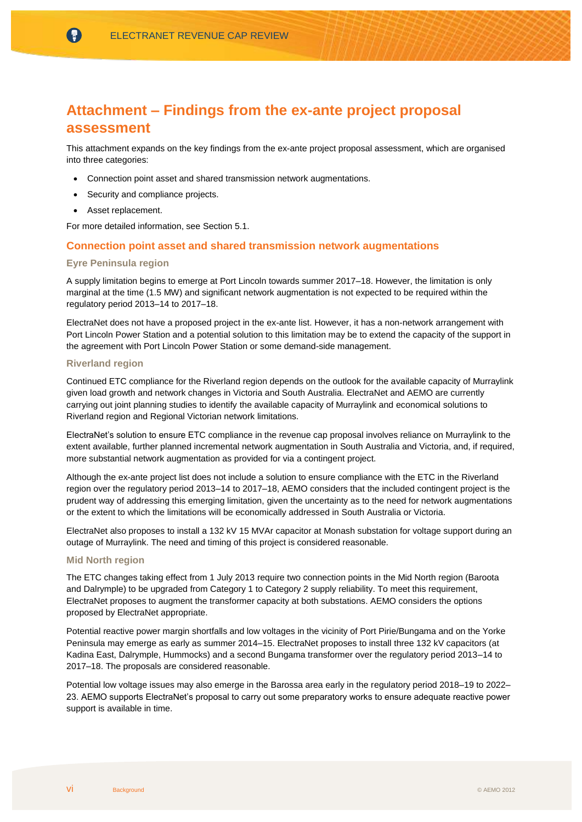### **Attachment – Findings from the ex-ante project proposal assessment**

This attachment expands on the key findings from the ex-ante project proposal assessment, which are organised into three categories:

- Connection point asset and shared transmission network augmentations.
- Security and compliance projects.
- Asset replacement.

(2)

For more detailed information, see Section [5.1.](#page-16-0)

#### **Connection point asset and shared transmission network augmentations**

#### **Eyre Peninsula region**

A supply limitation begins to emerge at Port Lincoln towards summer 2017–18. However, the limitation is only marginal at the time (1.5 MW) and significant network augmentation is not expected to be required within the regulatory period 2013–14 to 2017–18.

ElectraNet does not have a proposed project in the ex-ante list. However, it has a non-network arrangement with Port Lincoln Power Station and a potential solution to this limitation may be to extend the capacity of the support in the agreement with Port Lincoln Power Station or some demand-side management.

#### **Riverland region**

Continued ETC compliance for the Riverland region depends on the outlook for the available capacity of Murraylink given load growth and network changes in Victoria and South Australia. ElectraNet and AEMO are currently carrying out joint planning studies to identify the available capacity of Murraylink and economical solutions to Riverland region and Regional Victorian network limitations.

ElectraNet's solution to ensure ETC compliance in the revenue cap proposal involves reliance on Murraylink to the extent available, further planned incremental network augmentation in South Australia and Victoria, and, if required, more substantial network augmentation as provided for via a contingent project.

Although the ex-ante project list does not include a solution to ensure compliance with the ETC in the Riverland region over the regulatory period 2013–14 to 2017–18, AEMO considers that the included contingent project is the prudent way of addressing this emerging limitation, given the uncertainty as to the need for network augmentations or the extent to which the limitations will be economically addressed in South Australia or Victoria.

ElectraNet also proposes to install a 132 kV 15 MVAr capacitor at Monash substation for voltage support during an outage of Murraylink. The need and timing of this project is considered reasonable.

#### **Mid North region**

The ETC changes taking effect from 1 July 2013 require two connection points in the Mid North region (Baroota and Dalrymple) to be upgraded from Category 1 to Category 2 supply reliability. To meet this requirement, ElectraNet proposes to augment the transformer capacity at both substations. AEMO considers the options proposed by ElectraNet appropriate.

Potential reactive power margin shortfalls and low voltages in the vicinity of Port Pirie/Bungama and on the Yorke Peninsula may emerge as early as summer 2014–15. ElectraNet proposes to install three 132 kV capacitors (at Kadina East, Dalrymple, Hummocks) and a second Bungama transformer over the regulatory period 2013–14 to 2017–18. The proposals are considered reasonable.

Potential low voltage issues may also emerge in the Barossa area early in the regulatory period 2018–19 to 2022– 23. AEMO supports ElectraNet's proposal to carry out some preparatory works to ensure adequate reactive power support is available in time.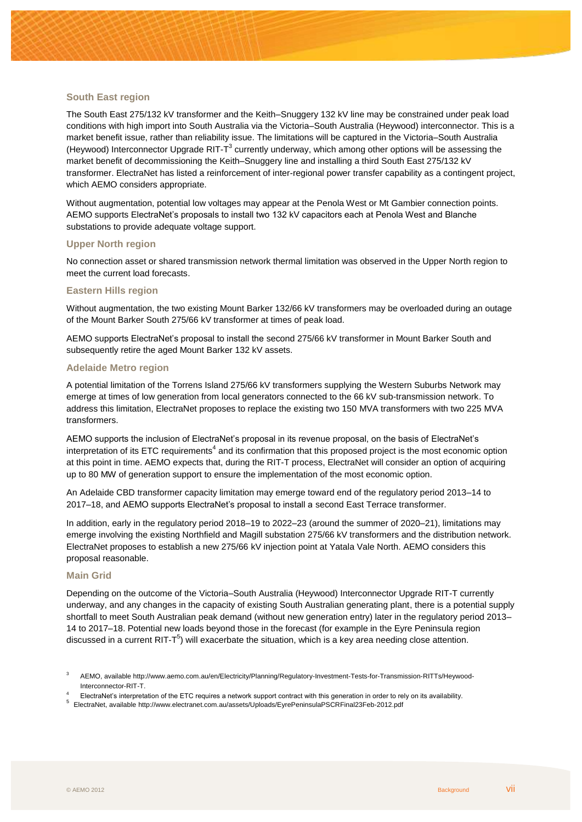#### **South East region**

The South East 275/132 kV transformer and the Keith–Snuggery 132 kV line may be constrained under peak load conditions with high import into South Australia via the Victoria–South Australia (Heywood) interconnector. This is a market benefit issue, rather than reliability issue. The limitations will be captured in the Victoria–South Australia (Heywood) Interconnector Upgrade RIT-T<sup>3</sup> currently underway, which among other options will be assessing the market benefit of decommissioning the Keith–Snuggery line and installing a third South East 275/132 kV transformer. ElectraNet has listed a reinforcement of inter-regional power transfer capability as a contingent project, which AEMO considers appropriate.

Without augmentation, potential low voltages may appear at the Penola West or Mt Gambier connection points. AEMO supports ElectraNet's proposals to install two 132 kV capacitors each at Penola West and Blanche substations to provide adequate voltage support.

#### **Upper North region**

No connection asset or shared transmission network thermal limitation was observed in the Upper North region to meet the current load forecasts.

#### **Eastern Hills region**

Without augmentation, the two existing Mount Barker 132/66 kV transformers may be overloaded during an outage of the Mount Barker South 275/66 kV transformer at times of peak load.

AEMO supports ElectraNet's proposal to install the second 275/66 kV transformer in Mount Barker South and subsequently retire the aged Mount Barker 132 kV assets.

#### **Adelaide Metro region**

A potential limitation of the Torrens Island 275/66 kV transformers supplying the Western Suburbs Network may emerge at times of low generation from local generators connected to the 66 kV sub-transmission network. To address this limitation, ElectraNet proposes to replace the existing two 150 MVA transformers with two 225 MVA transformers.

AEMO supports the inclusion of ElectraNet's proposal in its revenue proposal, on the basis of ElectraNet's interpretation of its ETC requirements<sup>4</sup> and its confirmation that this proposed project is the most economic option at this point in time. AEMO expects that, during the RIT-T process, ElectraNet will consider an option of acquiring up to 80 MW of generation support to ensure the implementation of the most economic option.

An Adelaide CBD transformer capacity limitation may emerge toward end of the regulatory period 2013–14 to 2017–18, and AEMO supports ElectraNet's proposal to install a second East Terrace transformer.

In addition, early in the regulatory period 2018–19 to 2022–23 (around the summer of 2020–21), limitations may emerge involving the existing Northfield and Magill substation 275/66 kV transformers and the distribution network. ElectraNet proposes to establish a new 275/66 kV injection point at Yatala Vale North. AEMO considers this proposal reasonable.

#### **Main Grid**

Depending on the outcome of the Victoria–South Australia (Heywood) Interconnector Upgrade RIT-T currently underway, and any changes in the capacity of existing South Australian generating plant, there is a potential supply shortfall to meet South Australian peak demand (without new generation entry) later in the regulatory period 2013– 14 to 2017–18. Potential new loads beyond those in the forecast (for example in the Eyre Peninsula region discussed in a current RIT-T<sup>5</sup>) will exacerbate the situation, which is a key area needing close attention.

<sup>3</sup> AEMO, available http://www.aemo.com.au/en/Electricity/Planning/Regulatory-Investment-Tests-for-Transmission-RITTs/Heywood-Interconnector-RIT-T.

<sup>4</sup> ElectraNet's interpretation of the ETC requires a network support contract with this generation in order to rely on its availability.

<sup>5</sup> ElectraNet, available <http://www.electranet.com.au/assets/Uploads/EyrePeninsulaPSCRFinal23Feb-2012.pdf>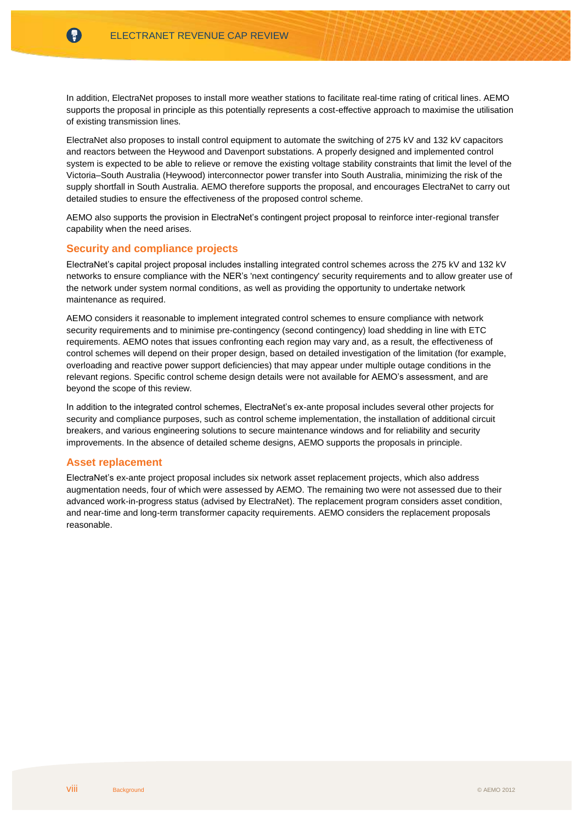In addition, ElectraNet proposes to install more weather stations to facilitate real-time rating of critical lines. AEMO supports the proposal in principle as this potentially represents a cost-effective approach to maximise the utilisation of existing transmission lines.

ElectraNet also proposes to install control equipment to automate the switching of 275 kV and 132 kV capacitors and reactors between the Heywood and Davenport substations. A properly designed and implemented control system is expected to be able to relieve or remove the existing voltage stability constraints that limit the level of the Victoria–South Australia (Heywood) interconnector power transfer into South Australia, minimizing the risk of the supply shortfall in South Australia. AEMO therefore supports the proposal, and encourages ElectraNet to carry out detailed studies to ensure the effectiveness of the proposed control scheme.

AEMO also supports the provision in ElectraNet's contingent project proposal to reinforce inter-regional transfer capability when the need arises.

#### **Security and compliance projects**

(1

ElectraNet's capital project proposal includes installing integrated control schemes across the 275 kV and 132 kV networks to ensure compliance with the NER's 'next contingency' security requirements and to allow greater use of the network under system normal conditions, as well as providing the opportunity to undertake network maintenance as required.

AEMO considers it reasonable to implement integrated control schemes to ensure compliance with network security requirements and to minimise pre-contingency (second contingency) load shedding in line with ETC requirements. AEMO notes that issues confronting each region may vary and, as a result, the effectiveness of control schemes will depend on their proper design, based on detailed investigation of the limitation (for example, overloading and reactive power support deficiencies) that may appear under multiple outage conditions in the relevant regions. Specific control scheme design details were not available for AEMO's assessment, and are beyond the scope of this review.

In addition to the integrated control schemes, ElectraNet's ex-ante proposal includes several other projects for security and compliance purposes, such as control scheme implementation, the installation of additional circuit breakers, and various engineering solutions to secure maintenance windows and for reliability and security improvements. In the absence of detailed scheme designs, AEMO supports the proposals in principle.

#### **Asset replacement**

ElectraNet's ex-ante project proposal includes six network asset replacement projects, which also address augmentation needs, four of which were assessed by AEMO. The remaining two were not assessed due to their advanced work-in-progress status (advised by ElectraNet). The replacement program considers asset condition, and near-time and long-term transformer capacity requirements. AEMO considers the replacement proposals reasonable.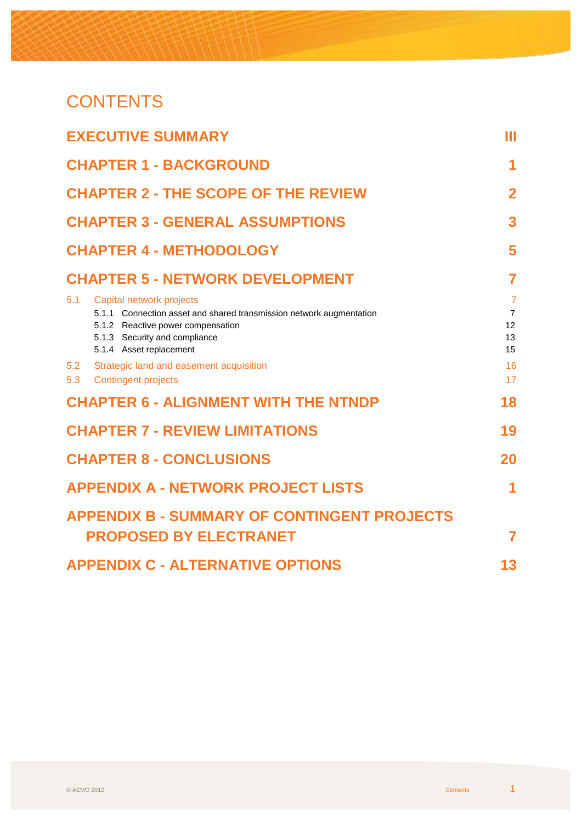# **CONTENTS**

| <b>EXECUTIVE SUMMARY</b>                                                                                                                                                                                                                                                                       | Ш                                                              |
|------------------------------------------------------------------------------------------------------------------------------------------------------------------------------------------------------------------------------------------------------------------------------------------------|----------------------------------------------------------------|
| <b>CHAPTER 1 - BACKGROUND</b>                                                                                                                                                                                                                                                                  | 1                                                              |
| <b>CHAPTER 2 - THE SCOPE OF THE REVIEW</b>                                                                                                                                                                                                                                                     | $\overline{2}$                                                 |
| <b>CHAPTER 3 - GENERAL ASSUMPTIONS</b>                                                                                                                                                                                                                                                         | 3                                                              |
| <b>CHAPTER 4 - METHODOLOGY</b>                                                                                                                                                                                                                                                                 | 5                                                              |
| <b>CHAPTER 5 - NETWORK DEVELOPMENT</b>                                                                                                                                                                                                                                                         | $\overline{\mathbf{7}}$                                        |
| 5.1<br>Capital network projects<br>5.1.1 Connection asset and shared transmission network augmentation<br>5.1.2 Reactive power compensation<br>5.1.3 Security and compliance<br>5.1.4 Asset replacement<br>Strategic land and easement acquisition<br>5.2<br>5.3<br><b>Contingent projects</b> | $\overline{7}$<br>$\overline{7}$<br>12<br>13<br>15<br>16<br>17 |
| <b>CHAPTER 6 - ALIGNMENT WITH THE NTNDP</b>                                                                                                                                                                                                                                                    | 18                                                             |
| <b>CHAPTER 7 - REVIEW LIMITATIONS</b>                                                                                                                                                                                                                                                          | 19                                                             |
| <b>CHAPTER 8 - CONCLUSIONS</b>                                                                                                                                                                                                                                                                 | 20                                                             |
| <b>APPENDIX A - NETWORK PROJECT LISTS</b>                                                                                                                                                                                                                                                      | 1                                                              |
| <b>APPENDIX B - SUMMARY OF CONTINGENT PROJECTS</b><br><b>PROPOSED BY ELECTRANET</b>                                                                                                                                                                                                            | $\overline{\mathbf{7}}$                                        |
| <b>APPENDIX C - ALTERNATIVE OPTIONS</b>                                                                                                                                                                                                                                                        | 13                                                             |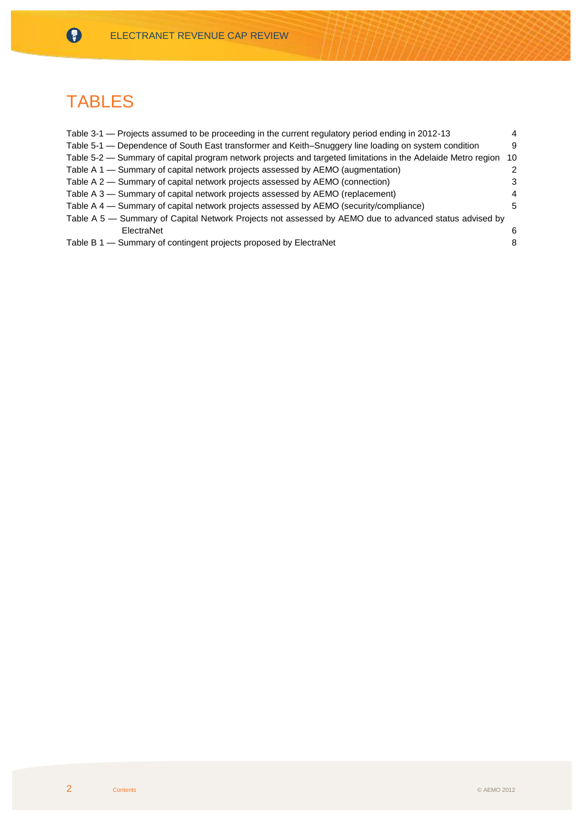# TABLES

| Table 3-1 — Projects assumed to be proceeding in the current regulatory period ending in 2012-13              | 4  |
|---------------------------------------------------------------------------------------------------------------|----|
| Table 5-1 — Dependence of South East transformer and Keith-Snuggery line loading on system condition          | 9  |
| Table 5-2 — Summary of capital program network projects and targeted limitations in the Adelaide Metro region | 10 |
| Table A 1 - Summary of capital network projects assessed by AEMO (augmentation)                               | 2  |
| Table A 2 — Summary of capital network projects assessed by AEMO (connection)                                 | 3  |
| Table A 3 — Summary of capital network projects assessed by AEMO (replacement)                                | 4  |
| Table A 4 — Summary of capital network projects assessed by AEMO (security/compliance)                        | 5  |
| Table A 5 — Summary of Capital Network Projects not assessed by AEMO due to advanced status advised by        |    |
| ElectraNet                                                                                                    | 6  |
| Table B 1 — Summary of contingent projects proposed by ElectraNet                                             | 8  |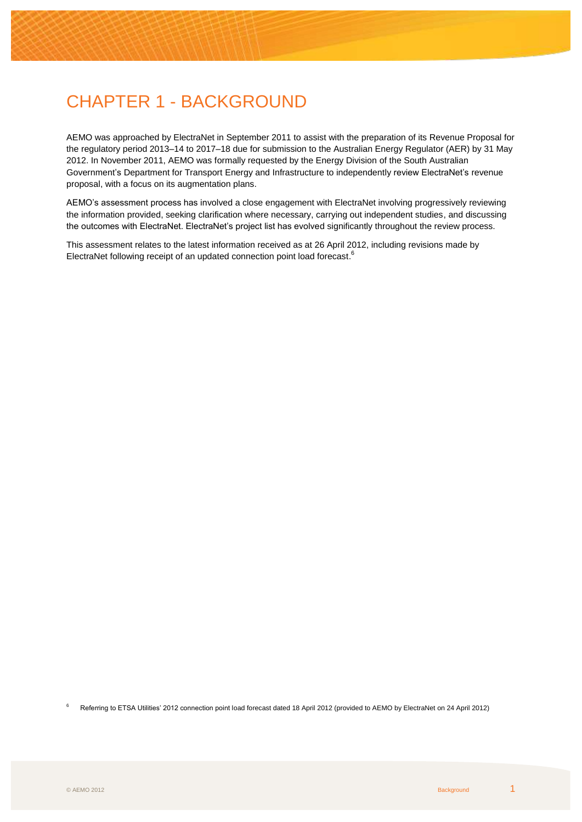# <span id="page-10-0"></span>CHAPTER 1 - BACKGROUND

AEMO was approached by ElectraNet in September 2011 to assist with the preparation of its Revenue Proposal for the regulatory period 2013–14 to 2017–18 due for submission to the Australian Energy Regulator (AER) by 31 May 2012. In November 2011, AEMO was formally requested by the Energy Division of the South Australian Government's Department for Transport Energy and Infrastructure to independently review ElectraNet's revenue proposal, with a focus on its augmentation plans.

AEMO's assessment process has involved a close engagement with ElectraNet involving progressively reviewing the information provided, seeking clarification where necessary, carrying out independent studies, and discussing the outcomes with ElectraNet. ElectraNet's project list has evolved significantly throughout the review process.

This assessment relates to the latest information received as at 26 April 2012, including revisions made by ElectraNet following receipt of an updated connection point load forecast.<sup>6</sup>

<sup>6</sup> Referring to ETSA Utilities' 2012 connection point load forecast dated 18 April 2012 (provided to AEMO by ElectraNet on 24 April 2012)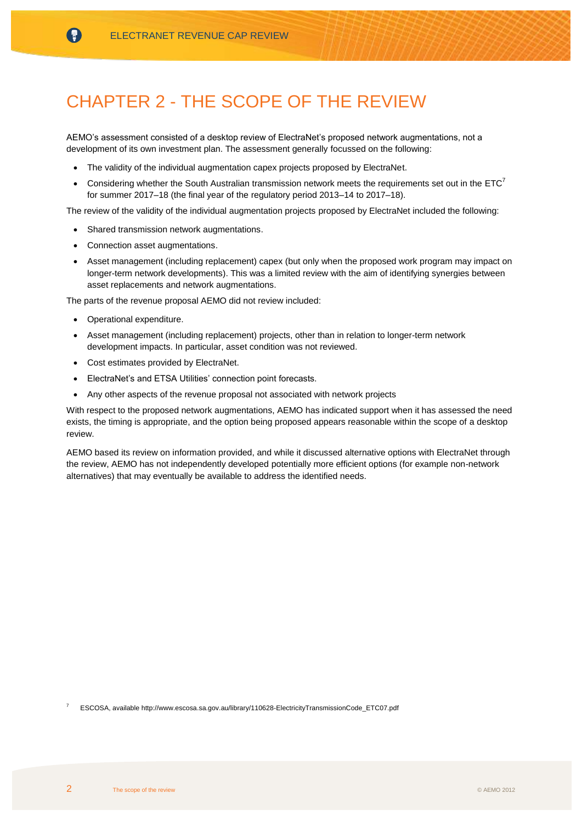# <span id="page-11-0"></span>CHAPTER 2 - THE SCOPE OF THE REVIEW

AEMO's assessment consisted of a desktop review of ElectraNet's proposed network augmentations, not a development of its own investment plan. The assessment generally focussed on the following:

- The validity of the individual augmentation capex projects proposed by ElectraNet.
- $\bullet$  Considering whether the South Australian transmission network meets the requirements set out in the ETC<sup>7</sup> for summer 2017–18 (the final year of the regulatory period 2013–14 to 2017–18).

The review of the validity of the individual augmentation projects proposed by ElectraNet included the following:

- Shared transmission network augmentations.
- Connection asset augmentations.
- Asset management (including replacement) capex (but only when the proposed work program may impact on longer-term network developments). This was a limited review with the aim of identifying synergies between asset replacements and network augmentations.

The parts of the revenue proposal AEMO did not review included:

Operational expenditure.

2

- Asset management (including replacement) projects, other than in relation to longer-term network development impacts. In particular, asset condition was not reviewed.
- Cost estimates provided by ElectraNet.
- ElectraNet's and ETSA Utilities' connection point forecasts.
- Any other aspects of the revenue proposal not associated with network projects

With respect to the proposed network augmentations, AEMO has indicated support when it has assessed the need exists, the timing is appropriate, and the option being proposed appears reasonable within the scope of a desktop review.

AEMO based its review on information provided, and while it discussed alternative options with ElectraNet through the review, AEMO has not independently developed potentially more efficient options (for example non-network alternatives) that may eventually be available to address the identified needs.

<sup>7</sup> ESCOSA, available http://www.escosa.sa.gov.au/library/110628-ElectricityTransmissionCode\_ETC07.pdf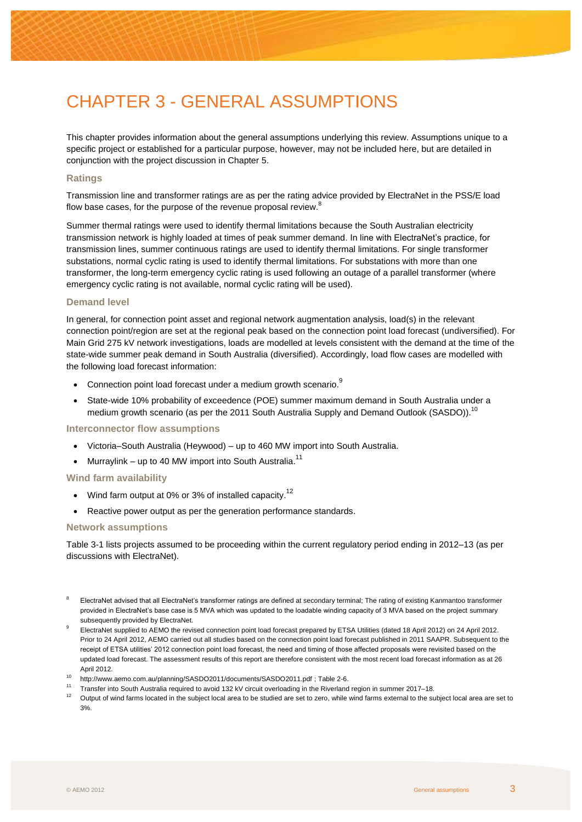# <span id="page-12-0"></span>CHAPTER 3 - GENERAL ASSUMPTIONS

This chapter provides information about the general assumptions underlying this review. Assumptions unique to a specific project or established for a particular purpose, however, may not be included here, but are detailed in conjunction with the project discussion in Chapter 5.

#### **Ratings**

Transmission line and transformer ratings are as per the rating advice provided by ElectraNet in the PSS/E load flow base cases, for the purpose of the revenue proposal review. $^8$ 

Summer thermal ratings were used to identify thermal limitations because the South Australian electricity transmission network is highly loaded at times of peak summer demand. In line with ElectraNet's practice, for transmission lines, summer continuous ratings are used to identify thermal limitations. For single transformer substations, normal cyclic rating is used to identify thermal limitations. For substations with more than one transformer, the long-term emergency cyclic rating is used following an outage of a parallel transformer (where emergency cyclic rating is not available, normal cyclic rating will be used).

#### **Demand level**

In general, for connection point asset and regional network augmentation analysis, load(s) in the relevant connection point/region are set at the regional peak based on the connection point load forecast (undiversified). For Main Grid 275 kV network investigations, loads are modelled at levels consistent with the demand at the time of the state-wide summer peak demand in South Australia (diversified). Accordingly, load flow cases are modelled with the following load forecast information:

- Connection point load forecast under a medium growth scenario.<sup>9</sup>
- State-wide 10% probability of exceedence (POE) summer maximum demand in South Australia under a medium growth scenario (as per the 2011 South Australia Supply and Demand Outlook (SASDO)).<sup>10</sup>

#### **Interconnector flow assumptions**

- Victoria–South Australia (Heywood) up to 460 MW import into South Australia.
- Murraylink up to 40 MW import into South Australia.<sup>11</sup>

#### **Wind farm availability**

- Wind farm output at 0% or 3% of installed capacity.<sup>12</sup>
- Reactive power output as per the generation performance standards.

#### **Network assumptions**

[Table 3-1](#page-13-0) lists projects assumed to be proceeding within the current regulatory period ending in 2012–13 (as per discussions with ElectraNet).

- <sup>8</sup> ElectraNet advised that all ElectraNet's transformer ratings are defined at secondary terminal; The rating of existing Kanmantoo transformer provided in ElectraNet's base case is 5 MVA which was updated to the loadable winding capacity of 3 MVA based on the project summary subsequently provided by ElectraNet.
- <sup>9</sup> ElectraNet supplied to AEMO the revised connection point load forecast prepared by ETSA Utilities (dated 18 April 2012) on 24 April 2012. Prior to 24 April 2012, AEMO carried out all studies based on the connection point load forecast published in 2011 SAAPR. Subsequent to the receipt of ETSA utilities' 2012 connection point load forecast, the need and timing of those affected proposals were revisited based on the updated load forecast. The assessment results of this report are therefore consistent with the most recent load forecast information as at 26 April 2012.
- 10 <http://www.aemo.com.au/planning/SASDO2011/documents/SASDO2011.pdf> ; Table 2-6.
- <sup>11</sup> Transfer into South Australia required to avoid 132 kV circuit overloading in the Riverland region in summer 2017–18.
- $12$  Output of wind farms located in the subject local area to be studied are set to zero, while wind farms external to the subject local area are set to 3%.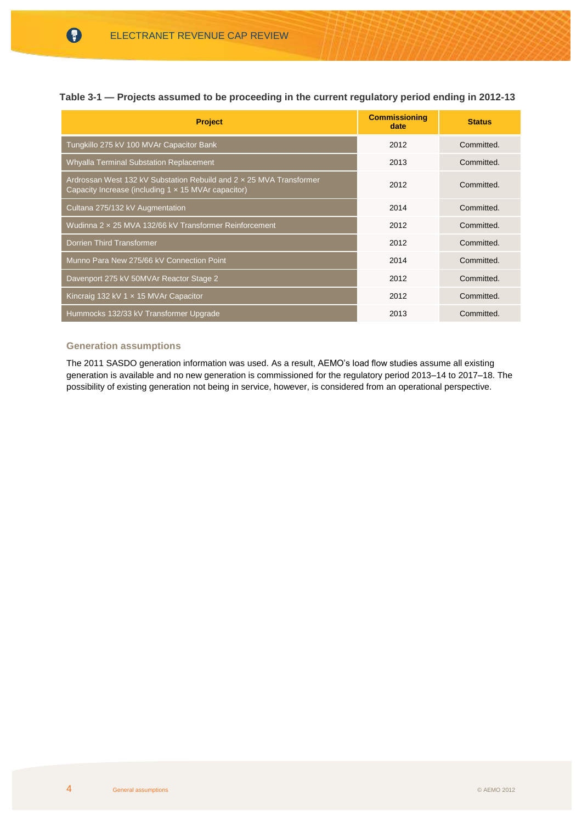| <b>Project</b>                                                                                                                    | <b>Commissioning</b><br>date | <b>Status</b> |
|-----------------------------------------------------------------------------------------------------------------------------------|------------------------------|---------------|
| Tungkillo 275 kV 100 MVAr Capacitor Bank                                                                                          | 2012                         | Committed.    |
| Whyalla Terminal Substation Replacement                                                                                           | 2013                         | Committed.    |
| Ardrossan West 132 kV Substation Rebuild and 2 x 25 MVA Transformer<br>Capacity Increase (including $1 \times 15$ MVAr capacitor) | 2012                         | Committed.    |
| Cultana 275/132 kV Augmentation                                                                                                   | 2014                         | Committed.    |
| Wudinna 2 x 25 MVA 132/66 kV Transformer Reinforcement                                                                            | 2012                         | Committed.    |
| <b>Dorrien Third Transformer</b>                                                                                                  | 2012                         | Committed.    |
| Munno Para New 275/66 kV Connection Point                                                                                         | 2014                         | Committed.    |
| Davenport 275 kV 50MVAr Reactor Stage 2                                                                                           | 2012                         | Committed.    |
| Kincraig 132 kV 1 x 15 MVAr Capacitor                                                                                             | 2012                         | Committed.    |
| Hummocks 132/33 kV Transformer Upgrade                                                                                            | 2013                         | Committed.    |

#### <span id="page-13-0"></span>**Table 3-1 — Projects assumed to be proceeding in the current regulatory period ending in 2012-13**

#### **Generation assumptions**

0

The 2011 SASDO generation information was used. As a result, AEMO's load flow studies assume all existing generation is available and no new generation is commissioned for the regulatory period 2013–14 to 2017–18. The possibility of existing generation not being in service, however, is considered from an operational perspective.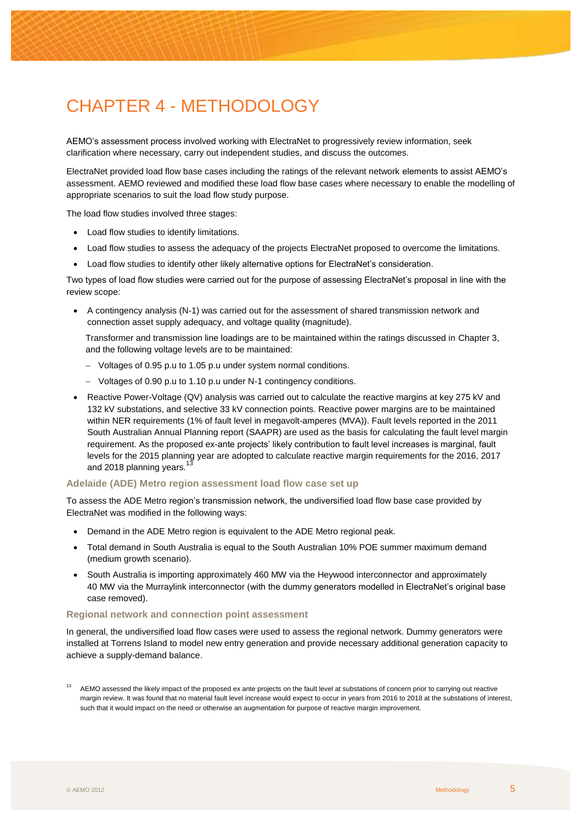### <span id="page-14-0"></span>CHAPTER 4 - METHODOLOGY

AEMO's assessment process involved working with ElectraNet to progressively review information, seek clarification where necessary, carry out independent studies, and discuss the outcomes.

ElectraNet provided load flow base cases including the ratings of the relevant network elements to assist AEMO's assessment. AEMO reviewed and modified these load flow base cases where necessary to enable the modelling of appropriate scenarios to suit the load flow study purpose.

The load flow studies involved three stages:

- Load flow studies to identify limitations.
- Load flow studies to assess the adequacy of the projects ElectraNet proposed to overcome the limitations.
- Load flow studies to identify other likely alternative options for ElectraNet's consideration.

Two types of load flow studies were carried out for the purpose of assessing ElectraNet's proposal in line with the review scope:

• A contingency analysis (N-1) was carried out for the assessment of shared transmission network and connection asset supply adequacy, and voltage quality (magnitude).

Transformer and transmission line loadings are to be maintained within the ratings discussed in Chapter 3, and the following voltage levels are to be maintained:

- Voltages of 0.95 p.u to 1.05 p.u under system normal conditions.
- Voltages of 0.90 p.u to 1.10 p.u under N-1 contingency conditions.
- Reactive Power-Voltage  $(QV)$  analysis was carried out to calculate the reactive margins at key 275 kV and 132 kV substations, and selective 33 kV connection points. Reactive power margins are to be maintained within NER requirements (1% of fault level in megavolt-amperes (MVA)). Fault levels reported in the 2011 South Australian Annual Planning report (SAAPR) are used as the basis for calculating the fault level margin requirement. As the proposed ex-ante projects' likely contribution to fault level increases is marginal, fault levels for the 2015 planning year are adopted to calculate reactive margin requirements for the 2016, 2017 and 2018 planning years.

#### **Adelaide (ADE) Metro region assessment load flow case set up**

To assess the ADE Metro region's transmission network, the undiversified load flow base case provided by ElectraNet was modified in the following ways:

- Demand in the ADE Metro region is equivalent to the ADE Metro regional peak.
- Total demand in South Australia is equal to the South Australian 10% POE summer maximum demand (medium growth scenario).
- South Australia is importing approximately 460 MW via the Heywood interconnector and approximately 40 MW via the Murraylink interconnector (with the dummy generators modelled in ElectraNet's original base case removed).

#### **Regional network and connection point assessment**

In general, the undiversified load flow cases were used to assess the regional network. Dummy generators were installed at Torrens Island to model new entry generation and provide necessary additional generation capacity to achieve a supply-demand balance.

<sup>&</sup>lt;sup>13</sup> AEMO assessed the likely impact of the proposed ex ante projects on the fault level at substations of concern prior to carrying out reactive margin review. It was found that no material fault level increase would expect to occur in years from 2016 to 2018 at the substations of interest, such that it would impact on the need or otherwise an augmentation for purpose of reactive margin improvement.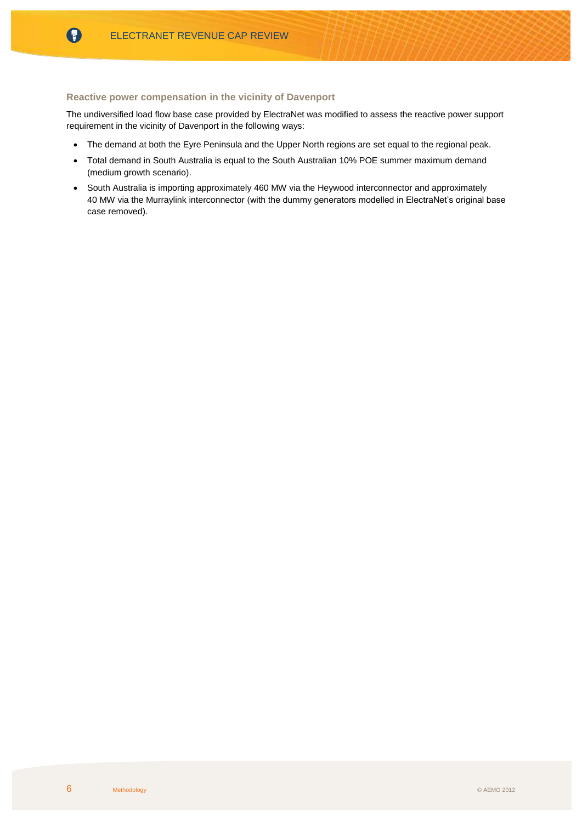0

#### **Reactive power compensation in the vicinity of Davenport**

The undiversified load flow base case provided by ElectraNet was modified to assess the reactive power support requirement in the vicinity of Davenport in the following ways:

- The demand at both the Eyre Peninsula and the Upper North regions are set equal to the regional peak.
- Total demand in South Australia is equal to the South Australian 10% POE summer maximum demand (medium growth scenario).
- South Australia is importing approximately 460 MW via the Heywood interconnector and approximately 40 MW via the Murraylink interconnector (with the dummy generators modelled in ElectraNet's original base case removed).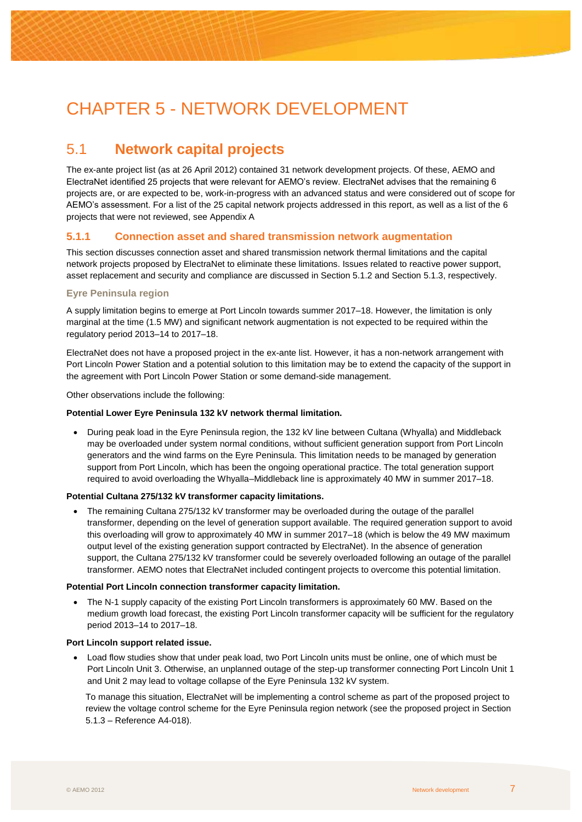# <span id="page-16-1"></span>CHAPTER 5 - NETWORK DEVELOPMENT

### <span id="page-16-0"></span>5.1 **Network capital projects**

The ex-ante project list (as at 26 April 2012) contained 31 network development projects. Of these, AEMO and ElectraNet identified 25 projects that were relevant for AEMO's review. ElectraNet advises that the remaining 6 projects are, or are expected to be, work-in-progress with an advanced status and were considered out of scope for AEMO's assessment. For a list of the 25 capital network projects addressed in this report, as well as a list of the 6 projects that were not reviewed, see Appendix A

#### <span id="page-16-2"></span>**5.1.1 Connection asset and shared transmission network augmentation**

This section discusses connection asset and shared transmission network thermal limitations and the capital network projects proposed by ElectraNet to eliminate these limitations. Issues related to reactive power support, asset replacement and security and compliance are discussed in Sectio[n 5.1.2](#page-21-0) and Section [5.1.3,](#page-22-0) respectively.

#### **Eyre Peninsula region**

A supply limitation begins to emerge at Port Lincoln towards summer 2017–18. However, the limitation is only marginal at the time (1.5 MW) and significant network augmentation is not expected to be required within the regulatory period 2013–14 to 2017–18.

ElectraNet does not have a proposed project in the ex-ante list. However, it has a non-network arrangement with Port Lincoln Power Station and a potential solution to this limitation may be to extend the capacity of the support in the agreement with Port Lincoln Power Station or some demand-side management.

Other observations include the following:

#### **Potential Lower Eyre Peninsula 132 kV network thermal limitation.**

 During peak load in the Eyre Peninsula region, the 132 kV line between Cultana (Whyalla) and Middleback may be overloaded under system normal conditions, without sufficient generation support from Port Lincoln generators and the wind farms on the Eyre Peninsula. This limitation needs to be managed by generation support from Port Lincoln, which has been the ongoing operational practice. The total generation support required to avoid overloading the Whyalla–Middleback line is approximately 40 MW in summer 2017–18.

#### **Potential Cultana 275/132 kV transformer capacity limitations.**

• The remaining Cultana 275/132 kV transformer may be overloaded during the outage of the parallel transformer, depending on the level of generation support available. The required generation support to avoid this overloading will grow to approximately 40 MW in summer 2017–18 (which is below the 49 MW maximum output level of the existing generation support contracted by ElectraNet). In the absence of generation support, the Cultana 275/132 kV transformer could be severely overloaded following an outage of the parallel transformer. AEMO notes that ElectraNet included contingent projects to overcome this potential limitation.

#### **Potential Port Lincoln connection transformer capacity limitation.**

• The N-1 supply capacity of the existing Port Lincoln transformers is approximately 60 MW. Based on the medium growth load forecast, the existing Port Lincoln transformer capacity will be sufficient for the regulatory period 2013–14 to 2017–18.

#### **Port Lincoln support related issue.**

 Load flow studies show that under peak load, two Port Lincoln units must be online, one of which must be Port Lincoln Unit 3. Otherwise, an unplanned outage of the step-up transformer connecting Port Lincoln Unit 1 and Unit 2 may lead to voltage collapse of the Eyre Peninsula 132 kV system.

To manage this situation, ElectraNet will be implementing a control scheme as part of the proposed project to review the voltage control scheme for the Eyre Peninsula region network (see the proposed project in Section [5.1.3](#page-22-0) – Reference A4-018).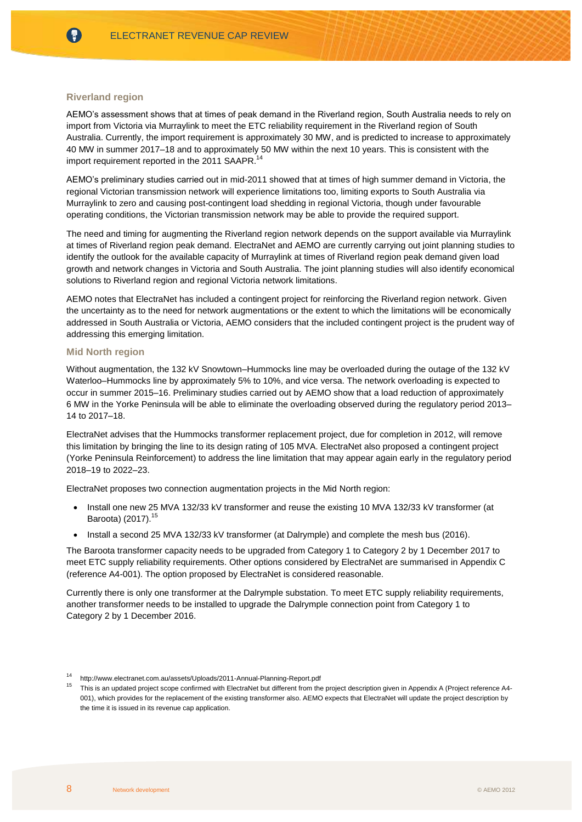#### **Riverland region**

(?)

AEMO's assessment shows that at times of peak demand in the Riverland region, South Australia needs to rely on import from Victoria via Murraylink to meet the ETC reliability requirement in the Riverland region of South Australia. Currently, the import requirement is approximately 30 MW, and is predicted to increase to approximately 40 MW in summer 2017–18 and to approximately 50 MW within the next 10 years. This is consistent with the import requirement reported in the 2011 SAAPR.<sup>14</sup>

AEMO's preliminary studies carried out in mid-2011 showed that at times of high summer demand in Victoria, the regional Victorian transmission network will experience limitations too, limiting exports to South Australia via Murraylink to zero and causing post-contingent load shedding in regional Victoria, though under favourable operating conditions, the Victorian transmission network may be able to provide the required support.

The need and timing for augmenting the Riverland region network depends on the support available via Murraylink at times of Riverland region peak demand. ElectraNet and AEMO are currently carrying out joint planning studies to identify the outlook for the available capacity of Murraylink at times of Riverland region peak demand given load growth and network changes in Victoria and South Australia. The joint planning studies will also identify economical solutions to Riverland region and regional Victoria network limitations.

AEMO notes that ElectraNet has included a contingent project for reinforcing the Riverland region network. Given the uncertainty as to the need for network augmentations or the extent to which the limitations will be economically addressed in South Australia or Victoria, AEMO considers that the included contingent project is the prudent way of addressing this emerging limitation.

#### **Mid North region**

Without augmentation, the 132 kV Snowtown–Hummocks line may be overloaded during the outage of the 132 kV Waterloo–Hummocks line by approximately 5% to 10%, and vice versa. The network overloading is expected to occur in summer 2015–16. Preliminary studies carried out by AEMO show that a load reduction of approximately 6 MW in the Yorke Peninsula will be able to eliminate the overloading observed during the regulatory period 2013– 14 to 2017–18.

ElectraNet advises that the Hummocks transformer replacement project, due for completion in 2012, will remove this limitation by bringing the line to its design rating of 105 MVA. ElectraNet also proposed a contingent project (Yorke Peninsula Reinforcement) to address the line limitation that may appear again early in the regulatory period 2018–19 to 2022–23.

ElectraNet proposes two connection augmentation projects in the Mid North region:

- Install one new 25 MVA 132/33 kV transformer and reuse the existing 10 MVA 132/33 kV transformer (at Baroota) (2017).<sup>15</sup>
- Install a second 25 MVA 132/33 kV transformer (at Dalrymple) and complete the mesh bus (2016).

The Baroota transformer capacity needs to be upgraded from Category 1 to Category 2 by 1 December 2017 to meet ETC supply reliability requirements. Other options considered by ElectraNet are summarised in Appendix C (reference A4-001). The option proposed by ElectraNet is considered reasonable.

Currently there is only one transformer at the Dalrymple substation. To meet ETC supply reliability requirements, another transformer needs to be installed to upgrade the Dalrymple connection point from Category 1 to Category 2 by 1 December 2016.

<sup>14</sup> http://www.electranet.com.au/assets/Uploads/2011-Annual-Planning-Report.pdf

<sup>15</sup> This is an updated project scope confirmed with ElectraNet but different from the project description given in Appendix A (Project reference A4- 001), which provides for the replacement of the existing transformer also. AEMO expects that ElectraNet will update the project description by the time it is issued in its revenue cap application.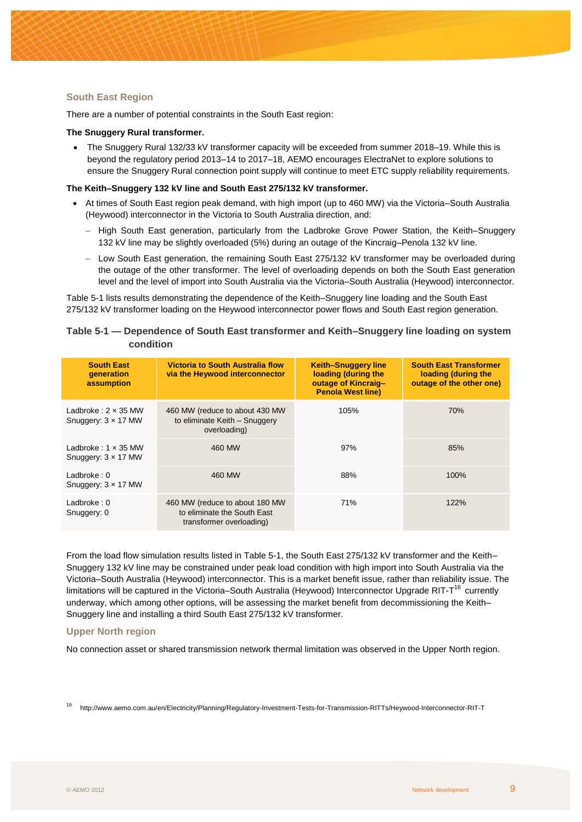#### **South East Region**

There are a number of potential constraints in the South East region:

#### **The Snuggery Rural transformer.**

• The Snuggery Rural 132/33 kV transformer capacity will be exceeded from summer 2018–19. While this is beyond the regulatory period 2013–14 to 2017–18, AEMO encourages ElectraNet to explore solutions to ensure the Snuggery Rural connection point supply will continue to meet ETC supply reliability requirements.

**The Keith–Snuggery 132 kV line and South East 275/132 kV transformer.**

- At times of South East region peak demand, with high import (up to 460 MW) via the Victoria–South Australia (Heywood) interconnector in the Victoria to South Australia direction, and:
	- High South East generation, particularly from the Ladbroke Grove Power Station, the Keith–Snuggery 132 kV line may be slightly overloaded (5%) during an outage of the Kincraig–Penola 132 kV line.
	- Low South East generation, the remaining South East 275/132 kV transformer may be overloaded during the outage of the other transformer. The level of overloading depends on both the South East generation level and the level of import into South Australia via the Victoria–South Australia (Heywood) interconnector.

[Table 5-1](#page-18-0) lists results demonstrating the dependence of the Keith–Snuggery line loading and the South East 275/132 kV transformer loading on the Heywood interconnector power flows and South East region generation.

#### <span id="page-18-0"></span>**Table 5-1 — Dependence of South East transformer and Keith–Snuggery line loading on system condition**

| <b>South East</b><br>generation<br>assumption            | <b>Victoria to South Australia flow</b><br>via the Heywood interconnector                 | <b>Keith-Snuggery line</b><br>loading (during the<br>outage of Kincraig-<br><b>Penola West line)</b> | <b>South East Transformer</b><br>loading (during the<br>outage of the other one) |
|----------------------------------------------------------|-------------------------------------------------------------------------------------------|------------------------------------------------------------------------------------------------------|----------------------------------------------------------------------------------|
| Ladbroke: $2 \times 35$ MW<br>Snuggery: $3 \times 17$ MW | 460 MW (reduce to about 430 MW)<br>to eliminate Keith - Snuggery<br>overloading)          | 105%                                                                                                 | 70%                                                                              |
| Ladbroke: $1 \times 35$ MW<br>Snuggery: $3 \times 17$ MW | 460 MW                                                                                    | 97%                                                                                                  | 85%                                                                              |
| Ladbroke: $0$<br>Snuggery: $3 \times 17$ MW              | 460 MW                                                                                    | 88%                                                                                                  | 100%                                                                             |
| $L$ adbroke: 0<br>Snuggery: 0                            | 460 MW (reduce to about 180 MW<br>to eliminate the South East<br>transformer overloading) | 71%                                                                                                  | 122%                                                                             |

From the load flow simulation results listed i[n Table 5-1,](#page-18-0) the South East 275/132 kV transformer and the Keith– Snuggery 132 kV line may be constrained under peak load condition with high import into South Australia via the Victoria–South Australia (Heywood) interconnector. This is a market benefit issue, rather than reliability issue. The limitations will be captured in the Victoria–South Australia (Heywood) Interconnector Upgrade RIT-T<sup>16</sup> currently underway, which among other options, will be assessing the market benefit from decommissioning the Keith– Snuggery line and installing a third South East 275/132 kV transformer.

#### **Upper North region**

No connection asset or shared transmission network thermal limitation was observed in the Upper North region.

<sup>16</sup> http://www.aemo.com.au/en/Electricity/Planning/Regulatory-Investment-Tests-for-Transmission-RITTs/Heywood-Interconnector-RIT-T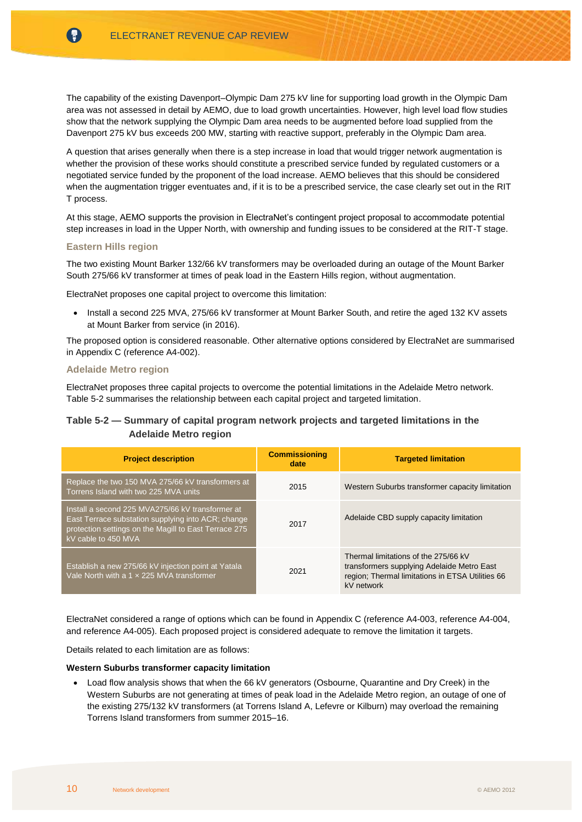The capability of the existing Davenport–Olympic Dam 275 kV line for supporting load growth in the Olympic Dam area was not assessed in detail by AEMO, due to load growth uncertainties. However, high level load flow studies show that the network supplying the Olympic Dam area needs to be augmented before load supplied from the Davenport 275 kV bus exceeds 200 MW, starting with reactive support, preferably in the Olympic Dam area.

A question that arises generally when there is a step increase in load that would trigger network augmentation is whether the provision of these works should constitute a prescribed service funded by regulated customers or a negotiated service funded by the proponent of the load increase. AEMO believes that this should be considered when the augmentation trigger eventuates and, if it is to be a prescribed service, the case clearly set out in the RIT T process.

At this stage, AEMO supports the provision in ElectraNet's contingent project proposal to accommodate potential step increases in load in the Upper North, with ownership and funding issues to be considered at the RIT-T stage.

#### **Eastern Hills region**

G

The two existing Mount Barker 132/66 kV transformers may be overloaded during an outage of the Mount Barker South 275/66 kV transformer at times of peak load in the Eastern Hills region, without augmentation.

ElectraNet proposes one capital project to overcome this limitation:

• Install a second 225 MVA, 275/66 kV transformer at Mount Barker South, and retire the aged 132 KV assets at Mount Barker from service (in 2016).

The proposed option is considered reasonable. Other alternative options considered by ElectraNet are summarised in Appendix C (reference A4-002).

#### **Adelaide Metro region**

ElectraNet proposes three capital projects to overcome the potential limitations in the Adelaide Metro network. [Table 5-2](#page-19-0) summarises the relationship between each capital project and targeted limitation.

#### <span id="page-19-0"></span>**Table 5-2 — Summary of capital program network projects and targeted limitations in the Adelaide Metro region**

| <b>Project description</b>                                                                                                                                                             | <b>Commissioning</b><br>date | <b>Targeted limitation</b>                                                                                                                           |
|----------------------------------------------------------------------------------------------------------------------------------------------------------------------------------------|------------------------------|------------------------------------------------------------------------------------------------------------------------------------------------------|
| Replace the two 150 MVA 275/66 kV transformers at<br>Torrens Island with two 225 MVA units                                                                                             | 2015                         | Western Suburbs transformer capacity limitation                                                                                                      |
| Install a second 225 MVA275/66 kV transformer at<br>East Terrace substation supplying into ACR; change<br>protection settings on the Magill to East Terrace 275<br>kV cable to 450 MVA | 2017                         | Adelaide CBD supply capacity limitation                                                                                                              |
| Establish a new 275/66 kV injection point at Yatala<br>Vale North with a 1 x 225 MVA transformer                                                                                       | 2021                         | Thermal limitations of the 275/66 kV<br>transformers supplying Adelaide Metro East<br>region; Thermal limitations in ETSA Utilities 66<br>kV network |

ElectraNet considered a range of options which can be found in Appendix C (reference A4-003, reference A4-004, and reference A4-005). Each proposed project is considered adequate to remove the limitation it targets.

Details related to each limitation are as follows:

#### **Western Suburbs transformer capacity limitation**

 Load flow analysis shows that when the 66 kV generators (Osbourne, Quarantine and Dry Creek) in the Western Suburbs are not generating at times of peak load in the Adelaide Metro region, an outage of one of the existing 275/132 kV transformers (at Torrens Island A, Lefevre or Kilburn) may overload the remaining Torrens Island transformers from summer 2015–16.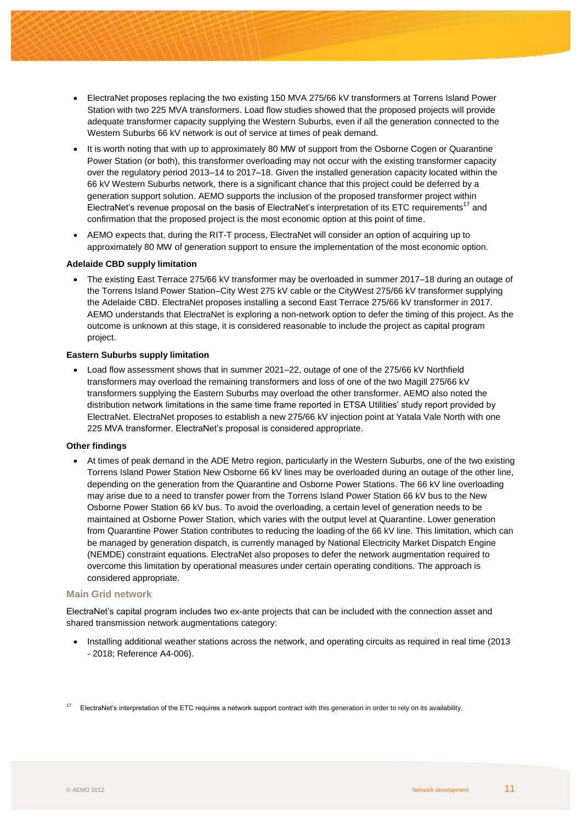- ElectraNet proposes replacing the two existing 150 MVA 275/66 kV transformers at Torrens Island Power Station with two 225 MVA transformers. Load flow studies showed that the proposed projects will provide adequate transformer capacity supplying the Western Suburbs, even if all the generation connected to the Western Suburbs 66 kV network is out of service at times of peak demand.
- It is worth noting that with up to approximately 80 MW of support from the Osborne Cogen or Quarantine Power Station (or both), this transformer overloading may not occur with the existing transformer capacity over the regulatory period 2013–14 to 2017–18. Given the installed generation capacity located within the 66 kV Western Suburbs network, there is a significant chance that this project could be deferred by a generation support solution. AEMO supports the inclusion of the proposed transformer project within ElectraNet's revenue proposal on the basis of ElectraNet's interpretation of its ETC requirements<sup>17</sup> and confirmation that the proposed project is the most economic option at this point of time.
- AEMO expects that, during the RIT-T process, ElectraNet will consider an option of acquiring up to approximately 80 MW of generation support to ensure the implementation of the most economic option.

#### **Adelaide CBD supply limitation**

• The existing East Terrace 275/66 kV transformer may be overloaded in summer 2017–18 during an outage of the Torrens Island Power Station–City West 275 kV cable or the CityWest 275/66 kV transformer supplying the Adelaide CBD. ElectraNet proposes installing a second East Terrace 275/66 kV transformer in 2017. AEMO understands that ElectraNet is exploring a non-network option to defer the timing of this project. As the outcome is unknown at this stage, it is considered reasonable to include the project as capital program project.

#### **Eastern Suburbs supply limitation**

• Load flow assessment shows that in summer 2021–22, outage of one of the 275/66 kV Northfield transformers may overload the remaining transformers and loss of one of the two Magill 275/66 kV transformers supplying the Eastern Suburbs may overload the other transformer. AEMO also noted the distribution network limitations in the same time frame reported in ETSA Utilities' study report provided by ElectraNet. ElectraNet proposes to establish a new 275/66 kV injection point at Yatala Vale North with one 225 MVA transformer. ElectraNet's proposal is considered appropriate.

#### **Other findings**

 At times of peak demand in the ADE Metro region, particularly in the Western Suburbs, one of the two existing Torrens Island Power Station New Osborne 66 kV lines may be overloaded during an outage of the other line, depending on the generation from the Quarantine and Osborne Power Stations. The 66 kV line overloading may arise due to a need to transfer power from the Torrens Island Power Station 66 kV bus to the New Osborne Power Station 66 kV bus. To avoid the overloading, a certain level of generation needs to be maintained at Osborne Power Station, which varies with the output level at Quarantine. Lower generation from Quarantine Power Station contributes to reducing the loading of the 66 kV line. This limitation, which can be managed by generation dispatch, is currently managed by National Electricity Market Dispatch Engine (NEMDE) constraint equations. ElectraNet also proposes to defer the network augmentation required to overcome this limitation by operational measures under certain operating conditions. The approach is considered appropriate.

#### **Main Grid network**

ElectraNet's capital program includes two ex-ante projects that can be included with the connection asset and shared transmission network augmentations category:

• Installing additional weather stations across the network, and operating circuits as required in real time (2013) - 2018; Reference A4-006).

 $17$  ElectraNet's interpretation of the ETC requires a network support contract with this generation in order to rely on its availability.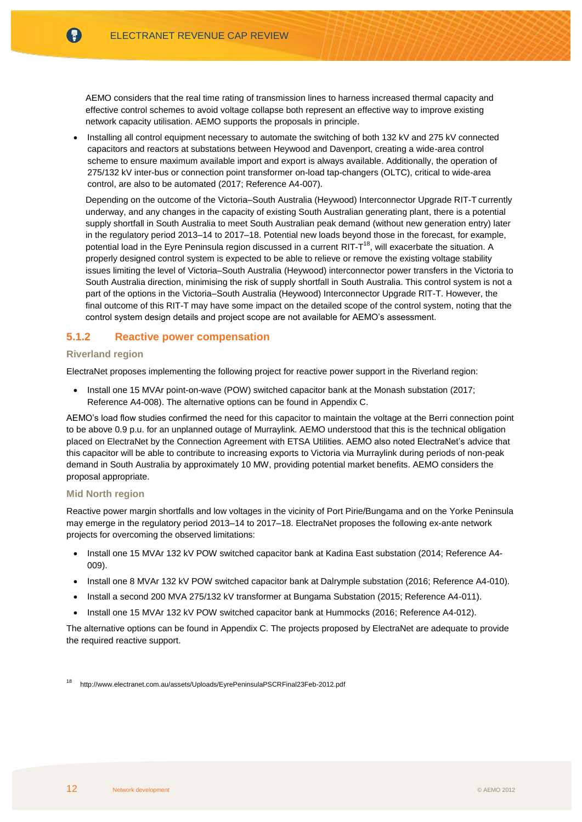AEMO considers that the real time rating of transmission lines to harness increased thermal capacity and effective control schemes to avoid voltage collapse both represent an effective way to improve existing network capacity utilisation. AEMO supports the proposals in principle.

• Installing all control equipment necessary to automate the switching of both 132 kV and 275 kV connected capacitors and reactors at substations between Heywood and Davenport, creating a wide-area control scheme to ensure maximum available import and export is always available. Additionally, the operation of 275/132 kV inter-bus or connection point transformer on-load tap-changers (OLTC), critical to wide-area control, are also to be automated (2017; Reference A4-007).

Depending on the outcome of the Victoria–South Australia (Heywood) Interconnector Upgrade RIT-T currently underway, and any changes in the capacity of existing South Australian generating plant, there is a potential supply shortfall in South Australia to meet South Australian peak demand (without new generation entry) later in the regulatory period 2013–14 to 2017–18. Potential new loads beyond those in the forecast, for example, potential load in the Eyre Peninsula region discussed in a current RIT-T<sup>18</sup>, will exacerbate the situation. A properly designed control system is expected to be able to relieve or remove the existing voltage stability issues limiting the level of Victoria–South Australia (Heywood) interconnector power transfers in the Victoria to South Australia direction, minimising the risk of supply shortfall in South Australia. This control system is not a part of the options in the Victoria–South Australia (Heywood) Interconnector Upgrade RIT-T. However, the final outcome of this RIT-T may have some impact on the detailed scope of the control system, noting that the control system design details and project scope are not available for AEMO's assessment.

#### <span id="page-21-0"></span>**5.1.2 Reactive power compensation**

#### **Riverland region**

G

ElectraNet proposes implementing the following project for reactive power support in the Riverland region:

• Install one 15 MVAr point-on-wave (POW) switched capacitor bank at the Monash substation (2017; Reference A4-008). The alternative options can be found in Appendix C.

AEMO's load flow studies confirmed the need for this capacitor to maintain the voltage at the Berri connection point to be above 0.9 p.u. for an unplanned outage of Murraylink. AEMO understood that this is the technical obligation placed on ElectraNet by the Connection Agreement with ETSA Utilities. AEMO also noted ElectraNet's advice that this capacitor will be able to contribute to increasing exports to Victoria via Murraylink during periods of non-peak demand in South Australia by approximately 10 MW, providing potential market benefits. AEMO considers the proposal appropriate.

#### **Mid North region**

Reactive power margin shortfalls and low voltages in the vicinity of Port Pirie/Bungama and on the Yorke Peninsula may emerge in the regulatory period 2013–14 to 2017–18. ElectraNet proposes the following ex-ante network projects for overcoming the observed limitations:

- Install one 15 MVAr 132 kV POW switched capacitor bank at Kadina East substation (2014; Reference A4-009).
- Install one 8 MVAr 132 kV POW switched capacitor bank at Dalrymple substation (2016; Reference A4-010).
- Install a second 200 MVA 275/132 kV transformer at Bungama Substation (2015; Reference A4-011).
- Install one 15 MVAr 132 kV POW switched capacitor bank at Hummocks (2016; Reference A4-012).

The alternative options can be found in Appendix C. The projects proposed by ElectraNet are adequate to provide the required reactive support.

<sup>18</sup> <http://www.electranet.com.au/assets/Uploads/EyrePeninsulaPSCRFinal23Feb-2012.pdf>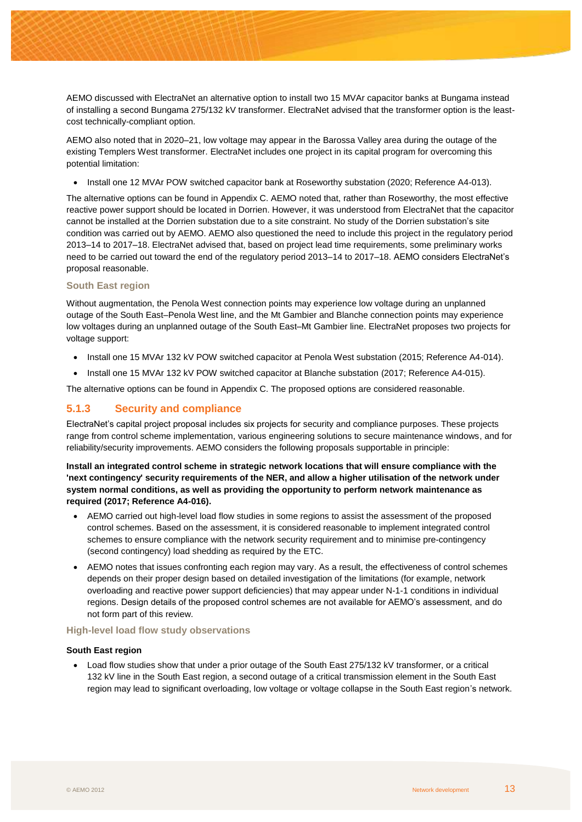AEMO discussed with ElectraNet an alternative option to install two 15 MVAr capacitor banks at Bungama instead of installing a second Bungama 275/132 kV transformer. ElectraNet advised that the transformer option is the leastcost technically-compliant option.

AEMO also noted that in 2020–21, low voltage may appear in the Barossa Valley area during the outage of the existing Templers West transformer. ElectraNet includes one project in its capital program for overcoming this potential limitation:

• Install one 12 MVAr POW switched capacitor bank at Roseworthy substation (2020; Reference A4-013).

The alternative options can be found in Appendix C. AEMO noted that, rather than Roseworthy, the most effective reactive power support should be located in Dorrien. However, it was understood from ElectraNet that the capacitor cannot be installed at the Dorrien substation due to a site constraint. No study of the Dorrien substation's site condition was carried out by AEMO. AEMO also questioned the need to include this project in the regulatory period 2013–14 to 2017–18. ElectraNet advised that, based on project lead time requirements, some preliminary works need to be carried out toward the end of the regulatory period 2013–14 to 2017–18. AEMO considers ElectraNet's proposal reasonable.

#### **South East region**

Without augmentation, the Penola West connection points may experience low voltage during an unplanned outage of the South East–Penola West line, and the Mt Gambier and Blanche connection points may experience low voltages during an unplanned outage of the South East–Mt Gambier line. ElectraNet proposes two projects for voltage support:

- Install one 15 MVAr 132 kV POW switched capacitor at Penola West substation (2015; Reference A4-014).
- Install one 15 MVAr 132 kV POW switched capacitor at Blanche substation (2017; Reference A4-015).

The alternative options can be found in Appendix C. The proposed options are considered reasonable.

#### <span id="page-22-0"></span>**5.1.3 Security and compliance**

ElectraNet's capital project proposal includes six projects for security and compliance purposes. These projects range from control scheme implementation, various engineering solutions to secure maintenance windows, and for reliability/security improvements. AEMO considers the following proposals supportable in principle:

**Install an integrated control scheme in strategic network locations that will ensure compliance with the 'next contingency' security requirements of the NER, and allow a higher utilisation of the network under system normal conditions, as well as providing the opportunity to perform network maintenance as required (2017; Reference A4-016).**

- AEMO carried out high-level load flow studies in some regions to assist the assessment of the proposed control schemes. Based on the assessment, it is considered reasonable to implement integrated control schemes to ensure compliance with the network security requirement and to minimise pre-contingency (second contingency) load shedding as required by the ETC.
- AEMO notes that issues confronting each region may vary. As a result, the effectiveness of control schemes depends on their proper design based on detailed investigation of the limitations (for example, network overloading and reactive power support deficiencies) that may appear under N-1-1 conditions in individual regions. Design details of the proposed control schemes are not available for AEMO's assessment, and do not form part of this review.

#### **High-level load flow study observations**

#### **South East region**

 Load flow studies show that under a prior outage of the South East 275/132 kV transformer, or a critical 132 kV line in the South East region, a second outage of a critical transmission element in the South East region may lead to significant overloading, low voltage or voltage collapse in the South East region's network.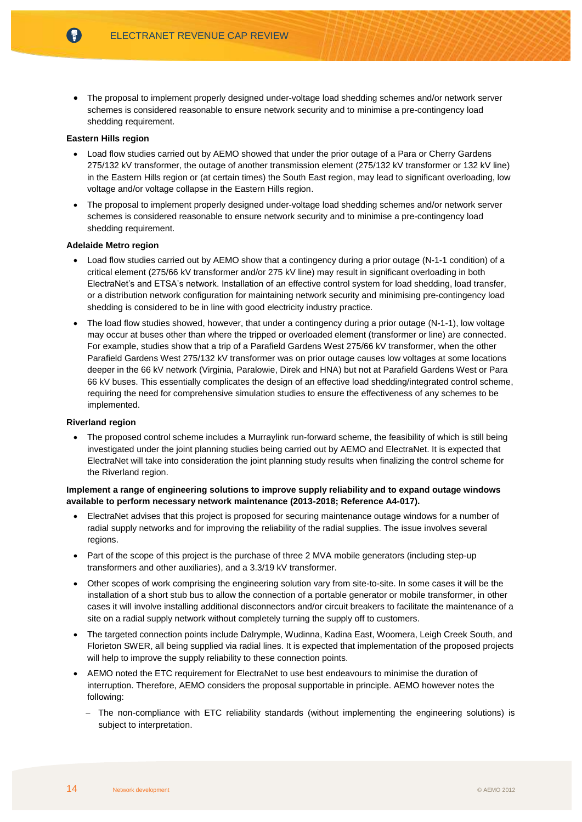The proposal to implement properly designed under-voltage load shedding schemes and/or network server schemes is considered reasonable to ensure network security and to minimise a pre-contingency load shedding requirement.

#### **Eastern Hills region**

(?)

- Load flow studies carried out by AEMO showed that under the prior outage of a Para or Cherry Gardens 275/132 kV transformer, the outage of another transmission element (275/132 kV transformer or 132 kV line) in the Eastern Hills region or (at certain times) the South East region, may lead to significant overloading, low voltage and/or voltage collapse in the Eastern Hills region.
- The proposal to implement properly designed under-voltage load shedding schemes and/or network server schemes is considered reasonable to ensure network security and to minimise a pre-contingency load shedding requirement.

#### **Adelaide Metro region**

- Load flow studies carried out by AEMO show that a contingency during a prior outage (N-1-1 condition) of a critical element (275/66 kV transformer and/or 275 kV line) may result in significant overloading in both ElectraNet's and ETSA's network. Installation of an effective control system for load shedding, load transfer, or a distribution network configuration for maintaining network security and minimising pre-contingency load shedding is considered to be in line with good electricity industry practice.
- The load flow studies showed, however, that under a contingency during a prior outage (N-1-1), low voltage may occur at buses other than where the tripped or overloaded element (transformer or line) are connected. For example, studies show that a trip of a Parafield Gardens West 275/66 kV transformer, when the other Parafield Gardens West 275/132 kV transformer was on prior outage causes low voltages at some locations deeper in the 66 kV network (Virginia, Paralowie, Direk and HNA) but not at Parafield Gardens West or Para 66 kV buses. This essentially complicates the design of an effective load shedding/integrated control scheme, requiring the need for comprehensive simulation studies to ensure the effectiveness of any schemes to be implemented.

#### **Riverland region**

 The proposed control scheme includes a Murraylink run-forward scheme, the feasibility of which is still being investigated under the joint planning studies being carried out by AEMO and ElectraNet. It is expected that ElectraNet will take into consideration the joint planning study results when finalizing the control scheme for the Riverland region.

#### **Implement a range of engineering solutions to improve supply reliability and to expand outage windows available to perform necessary network maintenance (2013-2018; Reference A4-017).**

- ElectraNet advises that this project is proposed for securing maintenance outage windows for a number of radial supply networks and for improving the reliability of the radial supplies. The issue involves several regions.
- Part of the scope of this project is the purchase of three 2 MVA mobile generators (including step-up transformers and other auxiliaries), and a 3.3/19 kV transformer.
- Other scopes of work comprising the engineering solution vary from site-to-site. In some cases it will be the installation of a short stub bus to allow the connection of a portable generator or mobile transformer, in other cases it will involve installing additional disconnectors and/or circuit breakers to facilitate the maintenance of a site on a radial supply network without completely turning the supply off to customers.
- The targeted connection points include Dalrymple, Wudinna, Kadina East, Woomera, Leigh Creek South, and Florieton SWER, all being supplied via radial lines. It is expected that implementation of the proposed projects will help to improve the supply reliability to these connection points.
- AEMO noted the ETC requirement for ElectraNet to use best endeavours to minimise the duration of interruption. Therefore, AEMO considers the proposal supportable in principle. AEMO however notes the following:
	- The non-compliance with ETC reliability standards (without implementing the engineering solutions) is subject to interpretation.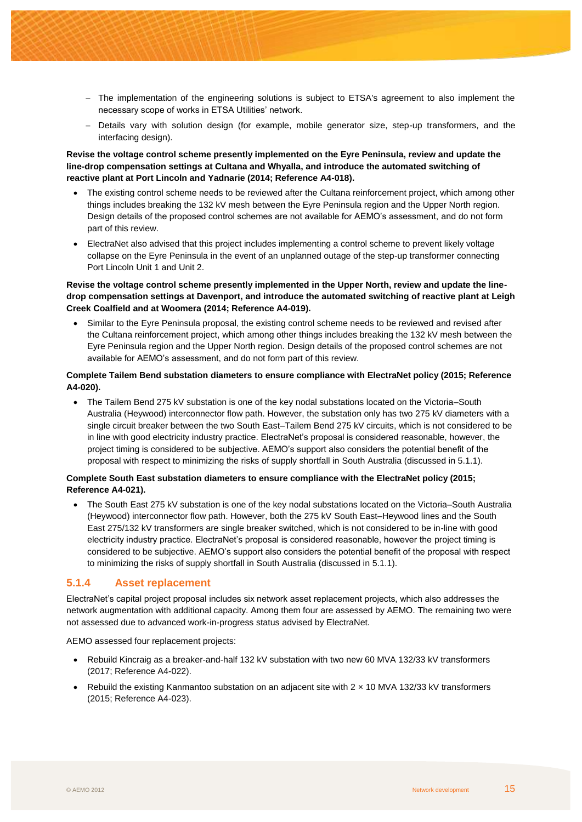- The implementation of the engineering solutions is subject to ETSA's agreement to also implement the necessary scope of works in ETSA Utilities' network.
- Details vary with solution design (for example, mobile generator size, step-up transformers, and the interfacing design).

**Revise the voltage control scheme presently implemented on the Eyre Peninsula, review and update the line-drop compensation settings at Cultana and Whyalla, and introduce the automated switching of reactive plant at Port Lincoln and Yadnarie (2014; Reference A4-018).**

- The existing control scheme needs to be reviewed after the Cultana reinforcement project, which among other things includes breaking the 132 kV mesh between the Eyre Peninsula region and the Upper North region. Design details of the proposed control schemes are not available for AEMO's assessment, and do not form part of this review.
- ElectraNet also advised that this project includes implementing a control scheme to prevent likely voltage collapse on the Eyre Peninsula in the event of an unplanned outage of the step-up transformer connecting Port Lincoln Unit 1 and Unit 2.

#### **Revise the voltage control scheme presently implemented in the Upper North, review and update the linedrop compensation settings at Davenport, and introduce the automated switching of reactive plant at Leigh Creek Coalfield and at Woomera (2014; Reference A4-019).**

 Similar to the Eyre Peninsula proposal, the existing control scheme needs to be reviewed and revised after the Cultana reinforcement project, which among other things includes breaking the 132 kV mesh between the Eyre Peninsula region and the Upper North region. Design details of the proposed control schemes are not available for AEMO's assessment, and do not form part of this review.

#### **Complete Tailem Bend substation diameters to ensure compliance with ElectraNet policy (2015; Reference A4-020).**

• The Tailem Bend 275 kV substation is one of the key nodal substations located on the Victoria–South Australia (Heywood) interconnector flow path. However, the substation only has two 275 kV diameters with a single circuit breaker between the two South East–Tailem Bend 275 kV circuits, which is not considered to be in line with good electricity industry practice. ElectraNet's proposal is considered reasonable, however, the project timing is considered to be subjective. AEMO's support also considers the potential benefit of the proposal with respect to minimizing the risks of supply shortfall in South Australia (discussed in [5.1.1\)](#page-16-2).

#### **Complete South East substation diameters to ensure compliance with the ElectraNet policy (2015; Reference A4-021).**

 The South East 275 kV substation is one of the key nodal substations located on the Victoria–South Australia (Heywood) interconnector flow path. However, both the 275 kV South East–Heywood lines and the South East 275/132 kV transformers are single breaker switched, which is not considered to be in-line with good electricity industry practice. ElectraNet's proposal is considered reasonable, however the project timing is considered to be subjective. AEMO's support also considers the potential benefit of the proposal with respect to minimizing the risks of supply shortfall in South Australia (discussed in [5.1.1\)](#page-16-2).

#### <span id="page-24-0"></span>**5.1.4 Asset replacement**

ElectraNet's capital project proposal includes six network asset replacement projects, which also addresses the network augmentation with additional capacity. Among them four are assessed by AEMO. The remaining two were not assessed due to advanced work-in-progress status advised by ElectraNet.

AEMO assessed four replacement projects:

- Rebuild Kincraig as a breaker-and-half 132 kV substation with two new 60 MVA 132/33 kV transformers (2017; Reference A4-022).
- Rebuild the existing Kanmantoo substation on an adjacent site with 2 x 10 MVA 132/33 kV transformers (2015; Reference A4-023).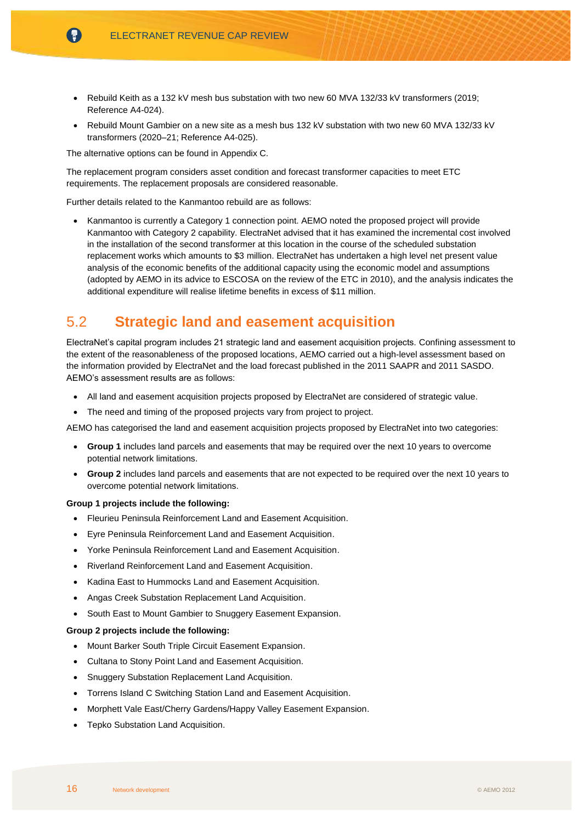- Rebuild Keith as a 132 kV mesh bus substation with two new 60 MVA 132/33 kV transformers (2019; Reference A4-024).
- Rebuild Mount Gambier on a new site as a mesh bus 132 kV substation with two new 60 MVA 132/33 kV transformers (2020–21; Reference A4-025).

The alternative options can be found in Appendix C.

(1

The replacement program considers asset condition and forecast transformer capacities to meet ETC requirements. The replacement proposals are considered reasonable.

Further details related to the Kanmantoo rebuild are as follows:

• Kanmantoo is currently a Category 1 connection point. AEMO noted the proposed project will provide Kanmantoo with Category 2 capability. ElectraNet advised that it has examined the incremental cost involved in the installation of the second transformer at this location in the course of the scheduled substation replacement works which amounts to \$3 million. ElectraNet has undertaken a high level net present value analysis of the economic benefits of the additional capacity using the economic model and assumptions (adopted by AEMO in its advice to ESCOSA on the review of the ETC in 2010), and the analysis indicates the additional expenditure will realise lifetime benefits in excess of \$11 million.

### <span id="page-25-0"></span>5.2 **Strategic land and easement acquisition**

ElectraNet's capital program includes 21 strategic land and easement acquisition projects. Confining assessment to the extent of the reasonableness of the proposed locations, AEMO carried out a high-level assessment based on the information provided by ElectraNet and the load forecast published in the 2011 SAAPR and 2011 SASDO. AEMO's assessment results are as follows:

- All land and easement acquisition projects proposed by ElectraNet are considered of strategic value.
- The need and timing of the proposed projects vary from project to project.

AEMO has categorised the land and easement acquisition projects proposed by ElectraNet into two categories:

- **Group 1** includes land parcels and easements that may be required over the next 10 years to overcome potential network limitations.
- **Group 2** includes land parcels and easements that are not expected to be required over the next 10 years to overcome potential network limitations.

#### **Group 1 projects include the following:**

- Fleurieu Peninsula Reinforcement Land and Easement Acquisition.
- Eyre Peninsula Reinforcement Land and Easement Acquisition.
- Yorke Peninsula Reinforcement Land and Easement Acquisition.
- Riverland Reinforcement Land and Easement Acquisition.
- Kadina East to Hummocks Land and Easement Acquisition.
- Angas Creek Substation Replacement Land Acquisition.
- South East to Mount Gambier to Snuggery Easement Expansion.

#### **Group 2 projects include the following:**

- Mount Barker South Triple Circuit Easement Expansion.
- Cultana to Stony Point Land and Easement Acquisition.
- Snuggery Substation Replacement Land Acquisition.
- Torrens Island C Switching Station Land and Easement Acquisition.
- Morphett Vale East/Cherry Gardens/Happy Valley Easement Expansion.
- Tepko Substation Land Acquisition.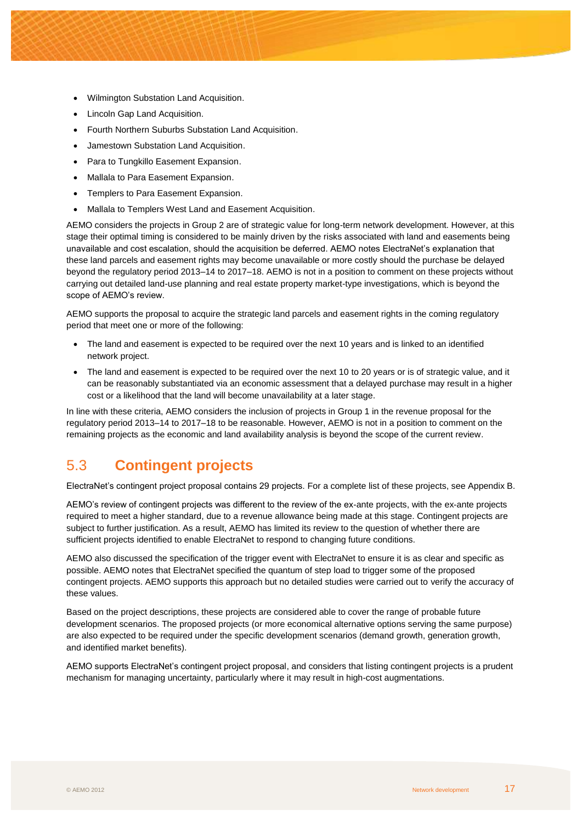- Wilmington Substation Land Acquisition.
- Lincoln Gap Land Acquisition.
- Fourth Northern Suburbs Substation Land Acquisition.
- Jamestown Substation Land Acquisition.
- Para to Tungkillo Easement Expansion.
- Mallala to Para Easement Expansion.
- Templers to Para Easement Expansion.
- Mallala to Templers West Land and Easement Acquisition.

AEMO considers the projects in Group 2 are of strategic value for long-term network development. However, at this stage their optimal timing is considered to be mainly driven by the risks associated with land and easements being unavailable and cost escalation, should the acquisition be deferred. AEMO notes ElectraNet's explanation that these land parcels and easement rights may become unavailable or more costly should the purchase be delayed beyond the regulatory period 2013–14 to 2017–18. AEMO is not in a position to comment on these projects without carrying out detailed land-use planning and real estate property market-type investigations, which is beyond the scope of AEMO's review.

AEMO supports the proposal to acquire the strategic land parcels and easement rights in the coming regulatory period that meet one or more of the following:

- The land and easement is expected to be required over the next 10 years and is linked to an identified network project.
- The land and easement is expected to be required over the next 10 to 20 years or is of strategic value, and it can be reasonably substantiated via an economic assessment that a delayed purchase may result in a higher cost or a likelihood that the land will become unavailability at a later stage.

In line with these criteria, AEMO considers the inclusion of projects in Group 1 in the revenue proposal for the regulatory period 2013–14 to 2017–18 to be reasonable. However, AEMO is not in a position to comment on the remaining projects as the economic and land availability analysis is beyond the scope of the current review.

### <span id="page-26-0"></span>5.3 **Contingent projects**

ElectraNet's contingent project proposal contains 29 projects. For a complete list of these projects, see Appendix B.

AEMO's review of contingent projects was different to the review of the ex-ante projects, with the ex-ante projects required to meet a higher standard, due to a revenue allowance being made at this stage. Contingent projects are subject to further justification. As a result, AEMO has limited its review to the question of whether there are sufficient projects identified to enable ElectraNet to respond to changing future conditions.

AEMO also discussed the specification of the trigger event with ElectraNet to ensure it is as clear and specific as possible. AEMO notes that ElectraNet specified the quantum of step load to trigger some of the proposed contingent projects. AEMO supports this approach but no detailed studies were carried out to verify the accuracy of these values.

Based on the project descriptions, these projects are considered able to cover the range of probable future development scenarios. The proposed projects (or more economical alternative options serving the same purpose) are also expected to be required under the specific development scenarios (demand growth, generation growth, and identified market benefits).

AEMO supports ElectraNet's contingent project proposal, and considers that listing contingent projects is a prudent mechanism for managing uncertainty, particularly where it may result in high-cost augmentations.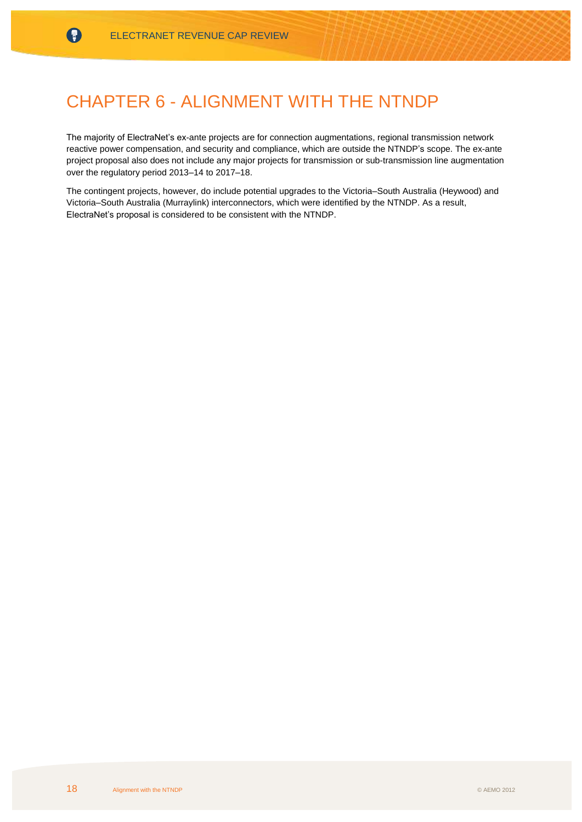8

### <span id="page-27-0"></span>CHAPTER 6 - ALIGNMENT WITH THE NTNDP

The majority of ElectraNet's ex-ante projects are for connection augmentations, regional transmission network reactive power compensation, and security and compliance, which are outside the NTNDP's scope. The ex-ante project proposal also does not include any major projects for transmission or sub-transmission line augmentation over the regulatory period 2013–14 to 2017–18.

The contingent projects, however, do include potential upgrades to the Victoria–South Australia (Heywood) and Victoria–South Australia (Murraylink) interconnectors, which were identified by the NTNDP. As a result, ElectraNet's proposal is considered to be consistent with the NTNDP.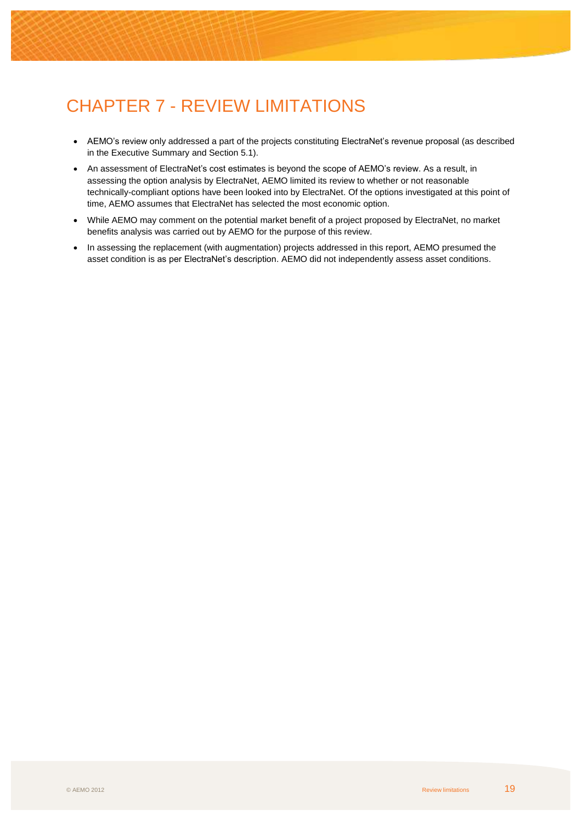# <span id="page-28-0"></span>CHAPTER 7 - REVIEW LIMITATIONS

- AEMO's review only addressed a part of the projects constituting ElectraNet's revenue proposal (as described in the Executive Summary and Section [5.1\)](#page-16-0).
- An assessment of ElectraNet's cost estimates is beyond the scope of AEMO's review. As a result, in assessing the option analysis by ElectraNet, AEMO limited its review to whether or not reasonable technically-compliant options have been looked into by ElectraNet. Of the options investigated at this point of time, AEMO assumes that ElectraNet has selected the most economic option.
- While AEMO may comment on the potential market benefit of a project proposed by ElectraNet, no market benefits analysis was carried out by AEMO for the purpose of this review.
- In assessing the replacement (with augmentation) projects addressed in this report, AEMO presumed the asset condition is as per ElectraNet's description. AEMO did not independently assess asset conditions.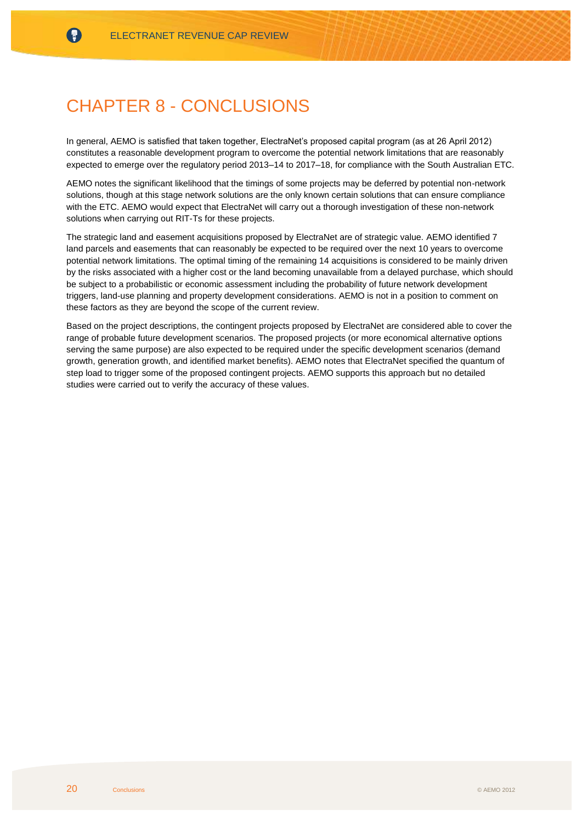(?)

### <span id="page-29-0"></span>CHAPTER 8 - CONCLUSIONS

In general, AEMO is satisfied that taken together, ElectraNet's proposed capital program (as at 26 April 2012) constitutes a reasonable development program to overcome the potential network limitations that are reasonably expected to emerge over the regulatory period 2013–14 to 2017–18, for compliance with the South Australian ETC.

AEMO notes the significant likelihood that the timings of some projects may be deferred by potential non-network solutions, though at this stage network solutions are the only known certain solutions that can ensure compliance with the ETC. AEMO would expect that ElectraNet will carry out a thorough investigation of these non-network solutions when carrying out RIT-Ts for these projects.

The strategic land and easement acquisitions proposed by ElectraNet are of strategic value. AEMO identified 7 land parcels and easements that can reasonably be expected to be required over the next 10 years to overcome potential network limitations. The optimal timing of the remaining 14 acquisitions is considered to be mainly driven by the risks associated with a higher cost or the land becoming unavailable from a delayed purchase, which should be subject to a probabilistic or economic assessment including the probability of future network development triggers, land-use planning and property development considerations. AEMO is not in a position to comment on these factors as they are beyond the scope of the current review.

Based on the project descriptions, the contingent projects proposed by ElectraNet are considered able to cover the range of probable future development scenarios. The proposed projects (or more economical alternative options serving the same purpose) are also expected to be required under the specific development scenarios (demand growth, generation growth, and identified market benefits). AEMO notes that ElectraNet specified the quantum of step load to trigger some of the proposed contingent projects. AEMO supports this approach but no detailed studies were carried out to verify the accuracy of these values.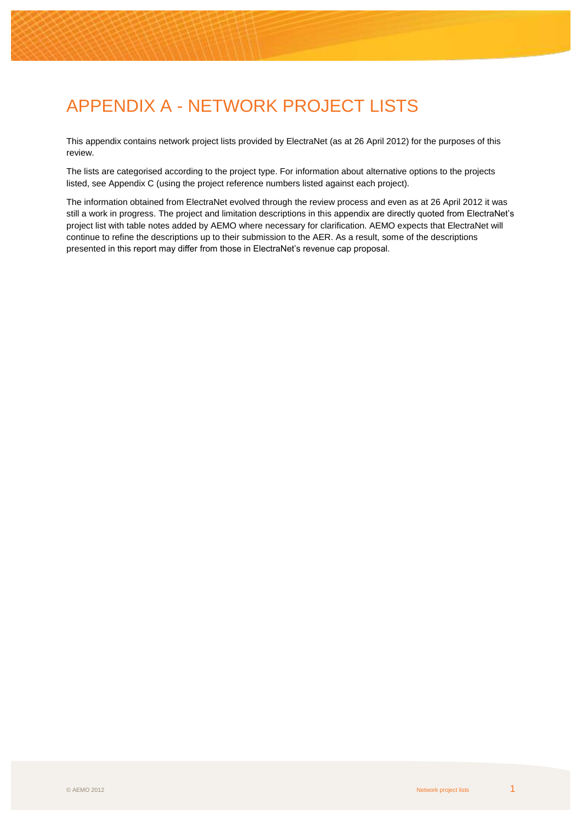# <span id="page-30-0"></span>APPENDIX A - NETWORK PROJECT LISTS

This appendix contains network project lists provided by ElectraNet (as at 26 April 2012) for the purposes of this review.

The lists are categorised according to the project type. For information about alternative options to the projects listed, see Appendix C (using the project reference numbers listed against each project).

The information obtained from ElectraNet evolved through the review process and even as at 26 April 2012 it was still a work in progress. The project and limitation descriptions in this appendix are directly quoted from ElectraNet's project list with table notes added by AEMO where necessary for clarification. AEMO expects that ElectraNet will continue to refine the descriptions up to their submission to the AER. As a result, some of the descriptions presented in this report may differ from those in ElectraNet's revenue cap proposal.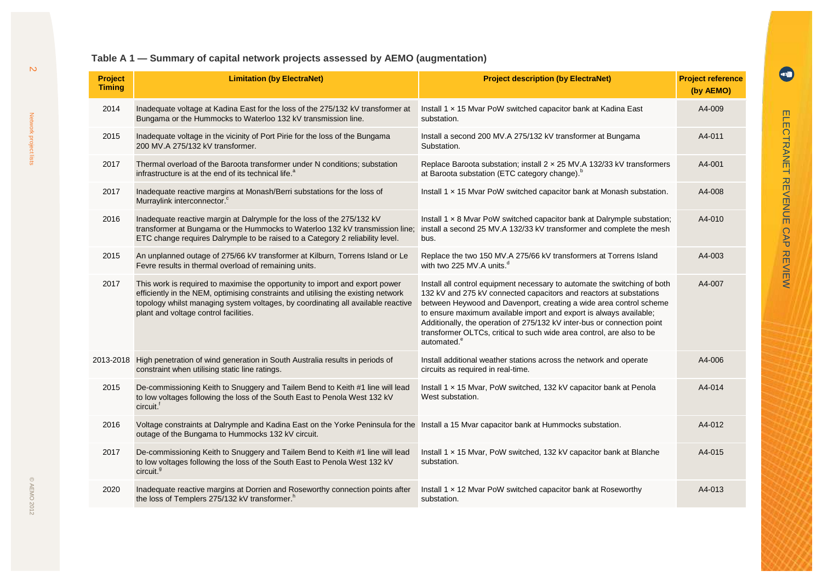### **Table A 1 — Summary of capital network projects assessed by AEMO (augmentation)**

<span id="page-31-0"></span>

| <b>Project</b><br><b>Timing</b> | <b>Limitation (by ElectraNet)</b>                                                                                                                                                                                                                                                              | <b>Project description (by ElectraNet)</b>                                                                                                                                                                                                                                                                                                                                                                                                                                 | <b>Project reference</b><br>(by AEMO) |
|---------------------------------|------------------------------------------------------------------------------------------------------------------------------------------------------------------------------------------------------------------------------------------------------------------------------------------------|----------------------------------------------------------------------------------------------------------------------------------------------------------------------------------------------------------------------------------------------------------------------------------------------------------------------------------------------------------------------------------------------------------------------------------------------------------------------------|---------------------------------------|
| 2014                            | Inadequate voltage at Kadina East for the loss of the 275/132 kV transformer at<br>Bungama or the Hummocks to Waterloo 132 kV transmission line.                                                                                                                                               | Install 1 x 15 Mvar PoW switched capacitor bank at Kadina East<br>substation.                                                                                                                                                                                                                                                                                                                                                                                              | A4-009                                |
| 2015                            | Inadequate voltage in the vicinity of Port Pirie for the loss of the Bungama<br>200 MV.A 275/132 kV transformer.                                                                                                                                                                               | Install a second 200 MV.A 275/132 kV transformer at Bungama<br>Substation.                                                                                                                                                                                                                                                                                                                                                                                                 | A4-011                                |
| 2017                            | Thermal overload of the Baroota transformer under N conditions; substation<br>infrastructure is at the end of its technical life. <sup>a</sup>                                                                                                                                                 | Replace Baroota substation; install 2 x 25 MV.A 132/33 kV transformers<br>at Baroota substation (ETC category change). <sup>b</sup>                                                                                                                                                                                                                                                                                                                                        | A4-001                                |
| 2017                            | Inadequate reactive margins at Monash/Berri substations for the loss of<br>Murraylink interconnector. <sup>c</sup>                                                                                                                                                                             | Install 1 x 15 Mvar PoW switched capacitor bank at Monash substation.                                                                                                                                                                                                                                                                                                                                                                                                      | A4-008                                |
| 2016                            | Inadequate reactive margin at Dalrymple for the loss of the 275/132 kV<br>transformer at Bungama or the Hummocks to Waterloo 132 kV transmission line;<br>ETC change requires Dalrymple to be raised to a Category 2 reliability level.                                                        | Install 1 x 8 Mvar PoW switched capacitor bank at Dalrymple substation;<br>install a second 25 MV.A 132/33 kV transformer and complete the mesh<br>bus.                                                                                                                                                                                                                                                                                                                    | A4-010                                |
| 2015                            | An unplanned outage of 275/66 kV transformer at Kilburn, Torrens Island or Le<br>Fevre results in thermal overload of remaining units.                                                                                                                                                         | Replace the two 150 MV.A 275/66 kV transformers at Torrens Island<br>with two 225 MV.A units. <sup>d</sup>                                                                                                                                                                                                                                                                                                                                                                 | A4-003                                |
| 2017                            | This work is required to maximise the opportunity to import and export power<br>efficiently in the NEM, optimising constraints and utilising the existing network<br>topology whilst managing system voltages, by coordinating all available reactive<br>plant and voltage control facilities. | Install all control equipment necessary to automate the switching of both<br>132 kV and 275 kV connected capacitors and reactors at substations<br>between Heywood and Davenport, creating a wide area control scheme<br>to ensure maximum available import and export is always available;<br>Additionally, the operation of 275/132 kV inter-bus or connection point<br>transformer OLTCs, critical to such wide area control, are also to be<br>automated. <sup>e</sup> | A4-007                                |
| 2013-2018                       | High penetration of wind generation in South Australia results in periods of<br>constraint when utilising static line ratings.                                                                                                                                                                 | Install additional weather stations across the network and operate<br>circuits as required in real-time.                                                                                                                                                                                                                                                                                                                                                                   | A4-006                                |
| 2015                            | De-commissioning Keith to Snuggery and Tailem Bend to Keith #1 line will lead<br>to low voltages following the loss of the South East to Penola West 132 kV<br>circuit. <sup>f</sup>                                                                                                           | Install 1 x 15 Mvar, PoW switched, 132 kV capacitor bank at Penola<br>West substation.                                                                                                                                                                                                                                                                                                                                                                                     | A4-014                                |
| 2016                            | Voltage constraints at Dalrymple and Kadina East on the Yorke Peninsula for the Install a 15 Mvar capacitor bank at Hummocks substation.<br>outage of the Bungama to Hummocks 132 kV circuit.                                                                                                  |                                                                                                                                                                                                                                                                                                                                                                                                                                                                            | A4-012                                |
| 2017                            | De-commissioning Keith to Snuggery and Tailem Bend to Keith #1 line will lead<br>to low voltages following the loss of the South East to Penola West 132 kV<br>circuit. <sup>9</sup>                                                                                                           | Install 1 x 15 Mvar, PoW switched, 132 kV capacitor bank at Blanche<br>substation.                                                                                                                                                                                                                                                                                                                                                                                         | A4-015                                |
| 2020                            | Inadequate reactive margins at Dorrien and Roseworthy connection points after<br>the loss of Templers 275/132 kV transformer. <sup>h</sup>                                                                                                                                                     | Install 1 x 12 Mvar PoW switched capacitor bank at Roseworthy<br>substation.                                                                                                                                                                                                                                                                                                                                                                                               | A4-013                                |

E

 $\overline{M}$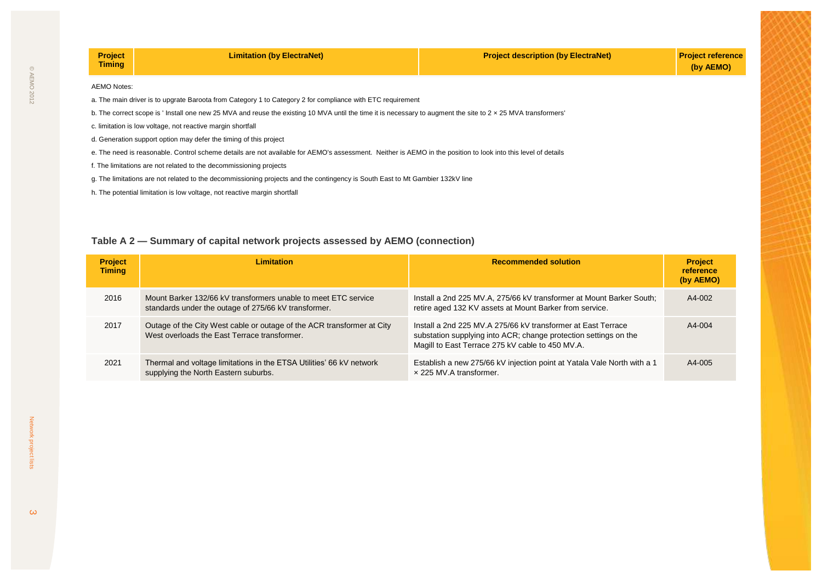| <b>Project</b><br><b>Timing</b>                                                                                                                                      | <b>Limitation (by ElectraNet)</b>                                                                          | <b>Project description (by ElectraNet)</b> | <b>Project reference</b><br>(by AEMO) |
|----------------------------------------------------------------------------------------------------------------------------------------------------------------------|------------------------------------------------------------------------------------------------------------|--------------------------------------------|---------------------------------------|
| AEMO Notes:                                                                                                                                                          |                                                                                                            |                                            |                                       |
|                                                                                                                                                                      | a. The main driver is to upgrate Baroota from Category 1 to Category 2 for compliance with ETC requirement |                                            |                                       |
| b. The correct scope is ' Install one new 25 MVA and reuse the existing 10 MVA until the time it is necessary to augment the site to $2 \times 25$ MVA transformers' |                                                                                                            |                                            |                                       |
| c. limitation is low voltage, not reactive margin shortfall                                                                                                          |                                                                                                            |                                            |                                       |
| d. Generation support option may defer the timing of this project                                                                                                    |                                                                                                            |                                            |                                       |
| e. The need is reasonable. Control scheme details are not available for AEMO's assessment. Neither is AEMO in the position to look into this level of details        |                                                                                                            |                                            |                                       |
| f. The limitations are not related to the decommissioning projects                                                                                                   |                                                                                                            |                                            |                                       |
| g. The limitations are not related to the decommissioning projects and the contingency is South East to Mt Gambier 132kV line                                        |                                                                                                            |                                            |                                       |
| h. The potential limitation is low voltage, not reactive margin shortfall                                                                                            |                                                                                                            |                                            |                                       |

### **Table A 2 — Summary of capital network projects assessed by AEMO (connection)**

<span id="page-32-0"></span>

| <b>Project</b><br><b>Timing</b> | <b>Limitation</b>                                                                                                      | <b>Recommended solution</b>                                                                                                                                                          | <b>Project</b><br>reference<br>(by AEMO) |
|---------------------------------|------------------------------------------------------------------------------------------------------------------------|--------------------------------------------------------------------------------------------------------------------------------------------------------------------------------------|------------------------------------------|
| 2016                            | Mount Barker 132/66 kV transformers unable to meet ETC service<br>standards under the outage of 275/66 kV transformer. | Install a 2nd 225 MV.A, 275/66 kV transformer at Mount Barker South;<br>retire aged 132 KV assets at Mount Barker from service.                                                      | A4-002                                   |
| 2017                            | Outage of the City West cable or outage of the ACR transformer at City<br>West overloads the East Terrace transformer. | Install a 2nd 225 MV.A 275/66 kV transformer at East Terrace<br>substation supplying into ACR; change protection settings on the<br>Magill to East Terrace 275 kV cable to 450 MV.A. | A4-004                                   |
| 2021                            | Thermal and voltage limitations in the ETSA Utilities' 66 kV network<br>supplying the North Eastern suburbs.           | Establish a new 275/66 kV injection point at Yatala Vale North with a 1<br>x 225 MV.A transformer.                                                                                   | A4-005                                   |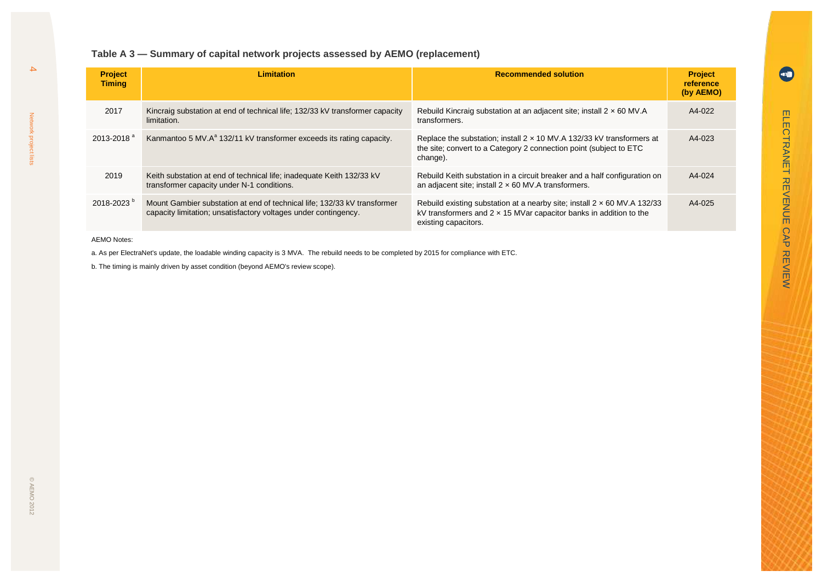| <b>Project</b><br><b>Timing</b> | <b>Limitation</b>                                                                                                                           | <b>Recommended solution</b>                                                                                                                                                          | <b>Project</b><br>reference<br>(by AEMO) |
|---------------------------------|---------------------------------------------------------------------------------------------------------------------------------------------|--------------------------------------------------------------------------------------------------------------------------------------------------------------------------------------|------------------------------------------|
| 2017                            | Kincraig substation at end of technical life; 132/33 kV transformer capacity<br>limitation.                                                 | Rebuild Kincraig substation at an adjacent site; install 2 x 60 MV.A<br>transformers.                                                                                                | A4-022                                   |
| $2013 - 2018$ <sup>a</sup>      | Kanmantoo 5 MV.A <sup>a</sup> 132/11 kV transformer exceeds its rating capacity.                                                            | Replace the substation; install $2 \times 10$ MV.A 132/33 kV transformers at<br>the site; convert to a Category 2 connection point (subject to ETC)<br>change).                      | A4-023                                   |
| 2019                            | Keith substation at end of technical life; inadequate Keith 132/33 kV<br>transformer capacity under N-1 conditions.                         | Rebuild Keith substation in a circuit breaker and a half configuration on<br>an adjacent site; install $2 \times 60$ MV. A transformers.                                             | A4-024                                   |
| 2018-2023 <sup>b</sup>          | Mount Gambier substation at end of technical life; 132/33 kV transformer<br>capacity limitation; unsatisfactory voltages under contingency. | Rebuild existing substation at a nearby site; install $2 \times 60$ MV.A 132/33<br>kV transformers and $2 \times 15$ MVar capacitor banks in addition to the<br>existing capacitors. | A4-025                                   |

AEMO Notes:

a. As per ElectraNet's update, the loadable winding capacity is 3 MVA. The rebuild needs to be completed by 2015 for compliance with ETC.

<span id="page-33-0"></span>b. The timing is mainly driven by asset condition (beyond AEMO's review scope).

 $\overline{4}$ 

**CENTER**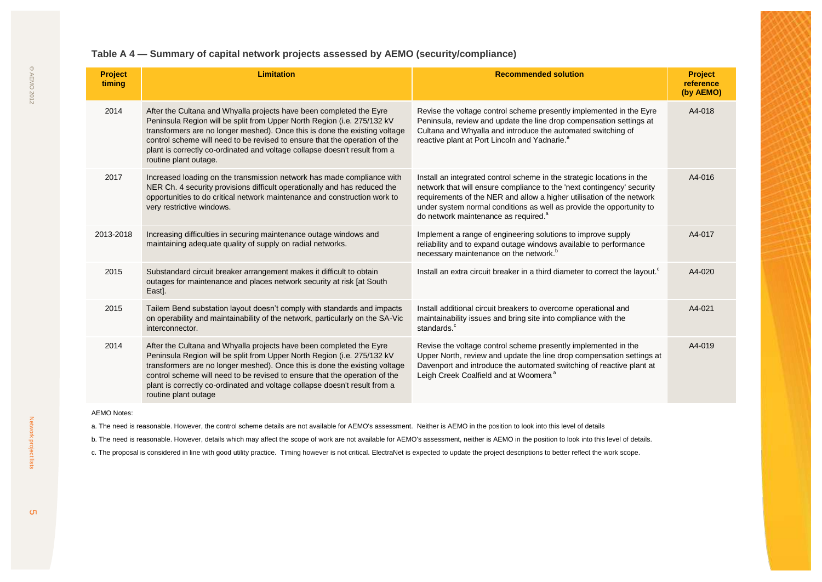#### **Table A 4 — Summary of capital network projects assessed by AEMO (security/compliance)**

| <b>Project</b><br>timing | <b>Limitation</b>                                                                                                                                                                                                                                                                                                                                                                                                 | <b>Recommended solution</b>                                                                                                                                                                                                                                                                                                                           | <b>Project</b><br>reference<br>(by AEMO) |
|--------------------------|-------------------------------------------------------------------------------------------------------------------------------------------------------------------------------------------------------------------------------------------------------------------------------------------------------------------------------------------------------------------------------------------------------------------|-------------------------------------------------------------------------------------------------------------------------------------------------------------------------------------------------------------------------------------------------------------------------------------------------------------------------------------------------------|------------------------------------------|
| 2014                     | After the Cultana and Whyalla projects have been completed the Eyre<br>Peninsula Region will be split from Upper North Region (i.e. 275/132 kV<br>transformers are no longer meshed). Once this is done the existing voltage<br>control scheme will need to be revised to ensure that the operation of the<br>plant is correctly co-ordinated and voltage collapse doesn't result from a<br>routine plant outage. | Revise the voltage control scheme presently implemented in the Eyre<br>Peninsula, review and update the line drop compensation settings at<br>Cultana and Whyalla and introduce the automated switching of<br>reactive plant at Port Lincoln and Yadnarie. <sup>a</sup>                                                                               | A4-018                                   |
| 2017                     | Increased loading on the transmission network has made compliance with<br>NER Ch. 4 security provisions difficult operationally and has reduced the<br>opportunities to do critical network maintenance and construction work to<br>very restrictive windows.                                                                                                                                                     | Install an integrated control scheme in the strategic locations in the<br>network that will ensure compliance to the 'next contingency' security<br>requirements of the NER and allow a higher utilisation of the network<br>under system normal conditions as well as provide the opportunity to<br>do network maintenance as required. <sup>a</sup> | A4-016                                   |
| 2013-2018                | Increasing difficulties in securing maintenance outage windows and<br>maintaining adequate quality of supply on radial networks.                                                                                                                                                                                                                                                                                  | Implement a range of engineering solutions to improve supply<br>reliability and to expand outage windows available to performance<br>necessary maintenance on the network. <sup>b</sup>                                                                                                                                                               | A4-017                                   |
| 2015                     | Substandard circuit breaker arrangement makes it difficult to obtain<br>outages for maintenance and places network security at risk [at South<br>East].                                                                                                                                                                                                                                                           | Install an extra circuit breaker in a third diameter to correct the layout. <sup>c</sup>                                                                                                                                                                                                                                                              | A4-020                                   |
| 2015                     | Tailem Bend substation layout doesn't comply with standards and impacts<br>on operability and maintainability of the network, particularly on the SA-Vic<br>interconnector.                                                                                                                                                                                                                                       | Install additional circuit breakers to overcome operational and<br>maintainability issues and bring site into compliance with the<br>standards. <sup>c</sup>                                                                                                                                                                                          | A4-021                                   |
| 2014                     | After the Cultana and Whyalla projects have been completed the Eyre<br>Peninsula Region will be split from Upper North Region (i.e. 275/132 kV<br>transformers are no longer meshed). Once this is done the existing voltage<br>control scheme will need to be revised to ensure that the operation of the<br>plant is correctly co-ordinated and voltage collapse doesn't result from a<br>routine plant outage  | Revise the voltage control scheme presently implemented in the<br>Upper North, review and update the line drop compensation settings at<br>Davenport and introduce the automated switching of reactive plant at<br>Leigh Creek Coalfield and at Woomera <sup>a</sup>                                                                                  | A4-019                                   |

<span id="page-34-0"></span>AEMO Notes:

a. The need is reasonable. However, the control scheme details are not available for AEMO's assessment. Neither is AEMO in the position to look into this level of details

b. The need is reasonable. However, details which may affect the scope of work are not available for AEMO's assessment, neither is AEMO in the position to look into this level of details.

c. The proposal is considered in line with good utility practice. Timing however is not critical. ElectraNet is expected to update the project descriptions to better reflect the work scope.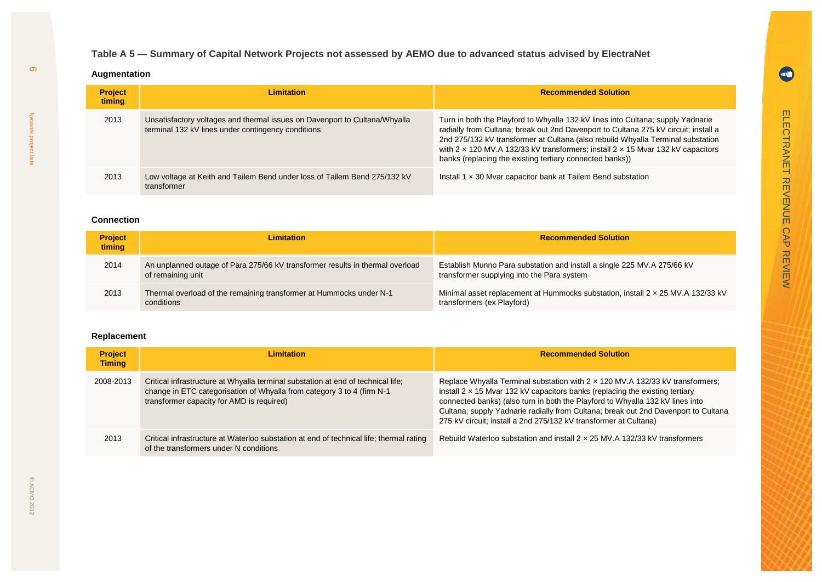#### **Table A 5 — Summary of Capital Network Projects not assessed by AEMO due to advanced status advised by ElectraNet**

#### **Augmentation**

| <b>Project</b><br>timing | <b>Limitation</b>                                                                                                                | <b>Recommended Solution</b>                                                                                                                                                                                                                                                                                                                                                                                            |
|--------------------------|----------------------------------------------------------------------------------------------------------------------------------|------------------------------------------------------------------------------------------------------------------------------------------------------------------------------------------------------------------------------------------------------------------------------------------------------------------------------------------------------------------------------------------------------------------------|
| 2013                     | Unsatisfactory voltages and thermal issues on Davenport to Cultana/Whyalla<br>terminal 132 kV lines under contingency conditions | Turn in both the Playford to Whyalla 132 kV lines into Cultana; supply Yadnarie<br>radially from Cultana; break out 2nd Davenport to Cultana 275 kV circuit; install a<br>2nd 275/132 kV transformer at Cultana (also rebuild Whyalla Terminal substation<br>with 2 $\times$ 120 MV.A 132/33 kV transformers; install 2 $\times$ 15 Mvar 132 kV capacitors<br>banks (replacing the existing tertiary connected banks)) |
| 2013                     | Low voltage at Keith and Tailem Bend under loss of Tailem Bend 275/132 kV<br>transformer                                         | Install $1 \times 30$ Mvar capacitor bank at Tailem Bend substation                                                                                                                                                                                                                                                                                                                                                    |

#### **Connection**

| <b>Project</b><br>timing | <b>Limitation</b>                                                                                  | <b>Recommended Solution</b>                                                                                           |
|--------------------------|----------------------------------------------------------------------------------------------------|-----------------------------------------------------------------------------------------------------------------------|
| 2014                     | An unplanned outage of Para 275/66 kV transformer results in thermal overload<br>of remaining unit | Establish Munno Para substation and install a single 225 MV.A 275/66 kV<br>transformer supplying into the Para system |
| 2013                     | Thermal overload of the remaining transformer at Hummocks under N-1<br>conditions                  | Minimal asset replacement at Hummocks substation, install 2 x 25 MV.A 132/33 kV<br>transformers (ex Playford)         |

#### <span id="page-35-0"></span>**Replacement**

| <b>Project</b><br><b>Timing</b> | <b>Limitation</b>                                                                                                                                                                                       | <b>Recommended Solution</b>                                                                                                                                                                                                                                                                                                                                                                                     |
|---------------------------------|---------------------------------------------------------------------------------------------------------------------------------------------------------------------------------------------------------|-----------------------------------------------------------------------------------------------------------------------------------------------------------------------------------------------------------------------------------------------------------------------------------------------------------------------------------------------------------------------------------------------------------------|
| 2008-2013                       | Critical infrastructure at Whyalla terminal substation at end of technical life;<br>change in ETC categorisation of Whyalla from category 3 to 4 (firm N-1<br>transformer capacity for AMD is required) | Replace Whyalla Terminal substation with 2 x 120 MV.A 132/33 kV transformers;<br>install $2 \times 15$ Mvar 132 kV capacitors banks (replacing the existing tertiary<br>connected banks) (also turn in both the Playford to Whyalla 132 kV lines into<br>Cultana; supply Yadnarie radially from Cultana; break out 2nd Davenport to Cultana<br>275 kV circuit; install a 2nd 275/132 kV transformer at Cultana) |
| 2013                            | Critical infrastructure at Waterloo substation at end of technical life; thermal rating<br>of the transformers under N conditions                                                                       | Rebuild Waterloo substation and install 2 x 25 MV.A 132/33 kV transformers                                                                                                                                                                                                                                                                                                                                      |

**CENT** 

 $\sigma$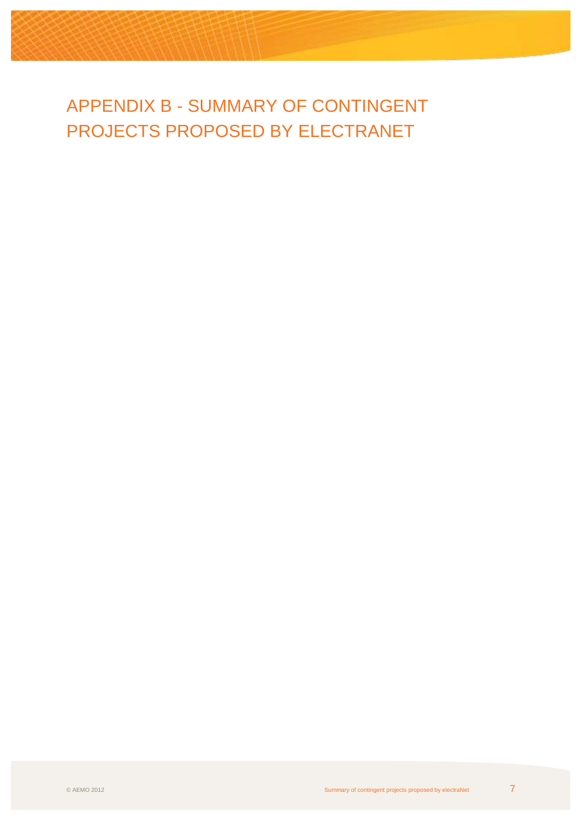# <span id="page-36-0"></span>APPENDIX B - SUMMARY OF CONTINGENT PROJECTS PROPOSED BY ELECTRANET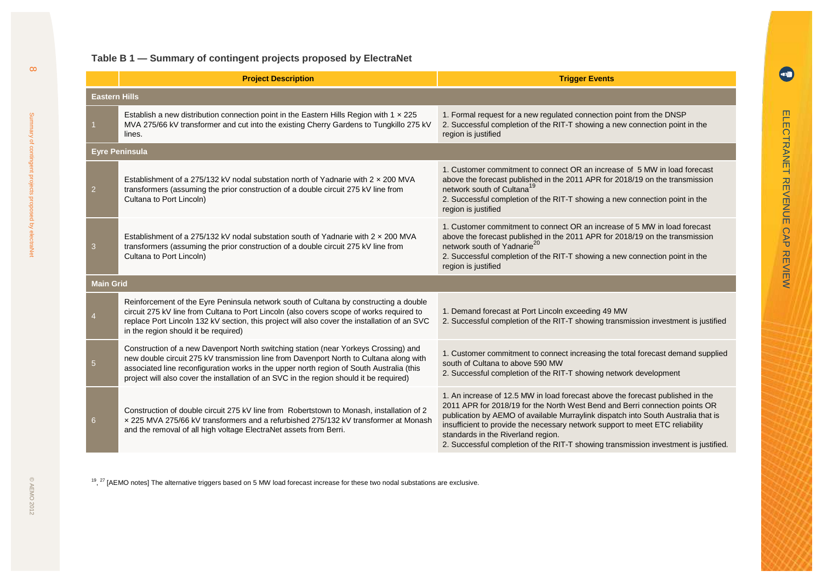#### **Table B 1 — Summary of contingent projects proposed by ElectraNet**

|                 | <b>Project Description</b>                                                                                                                                                                                                                                                                                                                                           | <b>Trigger Events</b>                                                                                                                                                                                                                                                                                                                                                                                                                                            |  |
|-----------------|----------------------------------------------------------------------------------------------------------------------------------------------------------------------------------------------------------------------------------------------------------------------------------------------------------------------------------------------------------------------|------------------------------------------------------------------------------------------------------------------------------------------------------------------------------------------------------------------------------------------------------------------------------------------------------------------------------------------------------------------------------------------------------------------------------------------------------------------|--|
|                 | <b>Eastern Hills</b>                                                                                                                                                                                                                                                                                                                                                 |                                                                                                                                                                                                                                                                                                                                                                                                                                                                  |  |
|                 | Establish a new distribution connection point in the Eastern Hills Region with 1 x 225<br>MVA 275/66 kV transformer and cut into the existing Cherry Gardens to Tungkillo 275 kV<br>lines.                                                                                                                                                                           | 1. Formal request for a new regulated connection point from the DNSP<br>2. Successful completion of the RIT-T showing a new connection point in the<br>region is justified                                                                                                                                                                                                                                                                                       |  |
|                 | <b>Eyre Peninsula</b>                                                                                                                                                                                                                                                                                                                                                |                                                                                                                                                                                                                                                                                                                                                                                                                                                                  |  |
| $\overline{2}$  | Establishment of a 275/132 kV nodal substation north of Yadnarie with $2 \times 200$ MVA<br>transformers (assuming the prior construction of a double circuit 275 kV line from<br>Cultana to Port Lincoln)                                                                                                                                                           | 1. Customer commitment to connect OR an increase of 5 MW in load forecast<br>above the forecast published in the 2011 APR for 2018/19 on the transmission<br>network south of Cultana <sup>19</sup><br>2. Successful completion of the RIT-T showing a new connection point in the<br>region is justified                                                                                                                                                        |  |
| 3               | Establishment of a 275/132 kV nodal substation south of Yadnarie with 2 x 200 MVA<br>transformers (assuming the prior construction of a double circuit 275 kV line from<br>Cultana to Port Lincoln)                                                                                                                                                                  | 1. Customer commitment to connect OR an increase of 5 MW in load forecast<br>above the forecast published in the 2011 APR for 2018/19 on the transmission<br>network south of Yadnarie <sup>20</sup><br>2. Successful completion of the RIT-T showing a new connection point in the<br>region is justified                                                                                                                                                       |  |
|                 | <b>Main Grid</b>                                                                                                                                                                                                                                                                                                                                                     |                                                                                                                                                                                                                                                                                                                                                                                                                                                                  |  |
|                 | Reinforcement of the Eyre Peninsula network south of Cultana by constructing a double<br>circuit 275 kV line from Cultana to Port Lincoln (also covers scope of works required to<br>replace Port Lincoln 132 kV section, this project will also cover the installation of an SVC<br>in the region should it be required)                                            | 1. Demand forecast at Port Lincoln exceeding 49 MW<br>2. Successful completion of the RIT-T showing transmission investment is justified                                                                                                                                                                                                                                                                                                                         |  |
| $\overline{5}$  | Construction of a new Davenport North switching station (near Yorkeys Crossing) and<br>new double circuit 275 kV transmission line from Davenport North to Cultana along with<br>associated line reconfiguration works in the upper north region of South Australia (this<br>project will also cover the installation of an SVC in the region should it be required) | 1. Customer commitment to connect increasing the total forecast demand supplied<br>south of Cultana to above 590 MW<br>2. Successful completion of the RIT-T showing network development                                                                                                                                                                                                                                                                         |  |
| $6\phantom{1}6$ | Construction of double circuit 275 kV line from Robertstown to Monash, installation of 2<br>x 225 MVA 275/66 kV transformers and a refurbished 275/132 kV transformer at Monash<br>and the removal of all high voltage ElectraNet assets from Berri.                                                                                                                 | 1. An increase of 12.5 MW in load forecast above the forecast published in the<br>2011 APR for 2018/19 for the North West Bend and Berri connection points OR<br>publication by AEMO of available Murraylink dispatch into South Australia that is<br>insufficient to provide the necessary network support to meet ETC reliability<br>standards in the Riverland region.<br>2. Successful completion of the RIT-T showing transmission investment is justified. |  |

**CONTENT** 

<span id="page-37-0"></span>Summary of contingent projects proposed by electraNet

Summary of contingent projects proposed by electraNet

<sup>19</sup>, <sup>27</sup> [AEMO notes] The alternative triggers based on 5 MW load forecast increase for these two nodal substations are exclusive.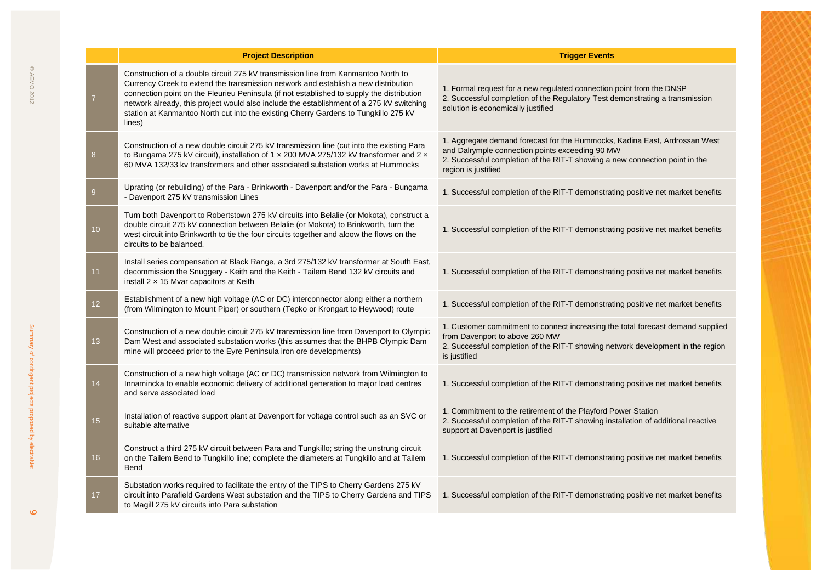|                 | <b>Project Description</b>                                                                                                                                                                                                                                                                                                                                                                                                                                        | <b>Trigger Events</b>                                                                                                                                                                                                               |
|-----------------|-------------------------------------------------------------------------------------------------------------------------------------------------------------------------------------------------------------------------------------------------------------------------------------------------------------------------------------------------------------------------------------------------------------------------------------------------------------------|-------------------------------------------------------------------------------------------------------------------------------------------------------------------------------------------------------------------------------------|
| $\overline{7}$  | Construction of a double circuit 275 kV transmission line from Kanmantoo North to<br>Currency Creek to extend the transmission network and establish a new distribution<br>connection point on the Fleurieu Peninsula (if not established to supply the distribution<br>network already, this project would also include the establishment of a 275 kV switching<br>station at Kanmantoo North cut into the existing Cherry Gardens to Tungkillo 275 kV<br>lines) | 1. Formal request for a new regulated connection point from the DNSP<br>2. Successful completion of the Regulatory Test demonstrating a transmission<br>solution is economically justified                                          |
| 8 <sup>8</sup>  | Construction of a new double circuit 275 kV transmission line (cut into the existing Para<br>to Bungama 275 kV circuit), installation of 1 x 200 MVA 275/132 kV transformer and 2 x<br>60 MVA 132/33 kv transformers and other associated substation works at Hummocks                                                                                                                                                                                            | 1. Aggregate demand forecast for the Hummocks, Kadina East, Ardrossan West<br>and Dalrymple connection points exceeding 90 MW<br>2. Successful completion of the RIT-T showing a new connection point in the<br>region is justified |
| 9               | Uprating (or rebuilding) of the Para - Brinkworth - Davenport and/or the Para - Bungama<br>- Davenport 275 kV transmission Lines                                                                                                                                                                                                                                                                                                                                  | 1. Successful completion of the RIT-T demonstrating positive net market benefits                                                                                                                                                    |
| 10 <sup>°</sup> | Turn both Davenport to Robertstown 275 kV circuits into Belalie (or Mokota), construct a<br>double circuit 275 kV connection between Belalie (or Mokota) to Brinkworth, turn the<br>west circuit into Brinkworth to tie the four circuits together and aloow the flows on the<br>circuits to be balanced.                                                                                                                                                         | 1. Successful completion of the RIT-T demonstrating positive net market benefits                                                                                                                                                    |
| 11              | Install series compensation at Black Range, a 3rd 275/132 kV transformer at South East,<br>decommission the Snuggery - Keith and the Keith - Tailem Bend 132 kV circuits and<br>install $2 \times 15$ Mvar capacitors at Keith                                                                                                                                                                                                                                    | 1. Successful completion of the RIT-T demonstrating positive net market benefits                                                                                                                                                    |
| 12 <sup>°</sup> | Establishment of a new high voltage (AC or DC) interconnector along either a northern<br>(from Wilmington to Mount Piper) or southern (Tepko or Krongart to Heywood) route                                                                                                                                                                                                                                                                                        | 1. Successful completion of the RIT-T demonstrating positive net market benefits                                                                                                                                                    |
| 13 <sup>°</sup> | Construction of a new double circuit 275 kV transmission line from Davenport to Olympic<br>Dam West and associated substation works (this assumes that the BHPB Olympic Dam<br>mine will proceed prior to the Eyre Peninsula iron ore developments)                                                                                                                                                                                                               | 1. Customer commitment to connect increasing the total forecast demand supplied<br>from Davenport to above 260 MW<br>2. Successful completion of the RIT-T showing network development in the region<br>is justified                |
| 14              | Construction of a new high voltage (AC or DC) transmission network from Wilmington to<br>Innamincka to enable economic delivery of additional generation to major load centres<br>and serve associated load                                                                                                                                                                                                                                                       | 1. Successful completion of the RIT-T demonstrating positive net market benefits                                                                                                                                                    |
| 15 <sub>1</sub> | Installation of reactive support plant at Davenport for voltage control such as an SVC or<br>suitable alternative                                                                                                                                                                                                                                                                                                                                                 | 1. Commitment to the retirement of the Playford Power Station<br>2. Successful completion of the RIT-T showing installation of additional reactive<br>support at Davenport is justified                                             |
| 16 <sup>°</sup> | Construct a third 275 kV circuit between Para and Tungkillo; string the unstrung circuit<br>on the Tailem Bend to Tungkillo line; complete the diameters at Tungkillo and at Tailem<br>Bend                                                                                                                                                                                                                                                                       | 1. Successful completion of the RIT-T demonstrating positive net market benefits                                                                                                                                                    |
| 17 <sup>2</sup> | Substation works required to facilitate the entry of the TIPS to Cherry Gardens 275 kV<br>circuit into Parafield Gardens West substation and the TIPS to Cherry Gardens and TIPS<br>to Magill 275 kV circuits into Para substation                                                                                                                                                                                                                                | 1. Successful completion of the RIT-T demonstrating positive net market benefits                                                                                                                                                    |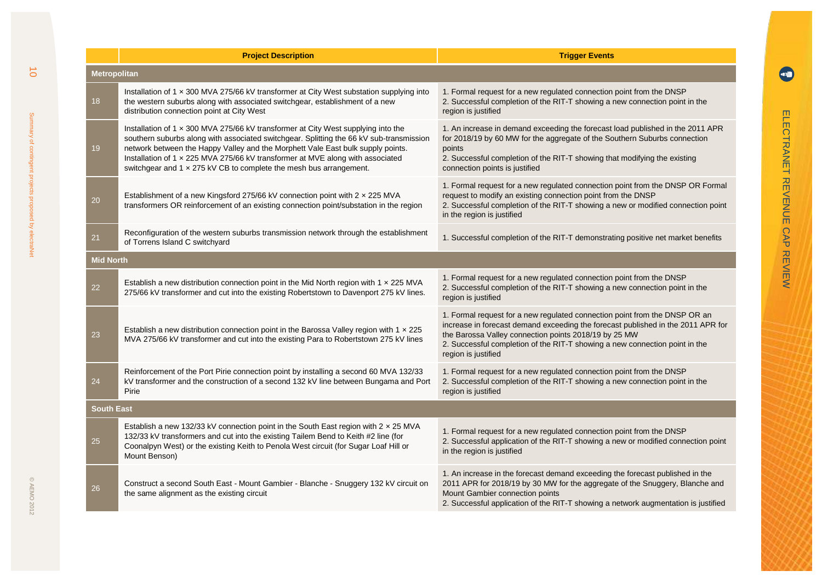|                 | <b>Project Description</b>                                                                                                                                                                                                                                                                                                                                                                                              | <b>Trigger Events</b>                                                                                                                                                                                                                                                                                                         |  |  |
|-----------------|-------------------------------------------------------------------------------------------------------------------------------------------------------------------------------------------------------------------------------------------------------------------------------------------------------------------------------------------------------------------------------------------------------------------------|-------------------------------------------------------------------------------------------------------------------------------------------------------------------------------------------------------------------------------------------------------------------------------------------------------------------------------|--|--|
|                 | <b>Metropolitan</b>                                                                                                                                                                                                                                                                                                                                                                                                     |                                                                                                                                                                                                                                                                                                                               |  |  |
| 18              | Installation of 1 x 300 MVA 275/66 kV transformer at City West substation supplying into<br>the western suburbs along with associated switchgear, establishment of a new<br>distribution connection point at City West                                                                                                                                                                                                  | 1. Formal request for a new regulated connection point from the DNSP<br>2. Successful completion of the RIT-T showing a new connection point in the<br>region is justified                                                                                                                                                    |  |  |
| 19 <sup>°</sup> | Installation of 1 x 300 MVA 275/66 kV transformer at City West supplying into the<br>southern suburbs along with associated switchgear. Splitting the 66 kV sub-transmission<br>network between the Happy Valley and the Morphett Vale East bulk supply points.<br>Installation of 1 x 225 MVA 275/66 kV transformer at MVE along with associated<br>switchgear and 1 x 275 kV CB to complete the mesh bus arrangement. | 1. An increase in demand exceeding the forecast load published in the 2011 APR<br>for 2018/19 by 60 MW for the aggregate of the Southern Suburbs connection<br>points<br>2. Successful completion of the RIT-T showing that modifying the existing<br>connection points is justified                                          |  |  |
| 20              | Establishment of a new Kingsford 275/66 kV connection point with 2 x 225 MVA<br>transformers OR reinforcement of an existing connection point/substation in the region                                                                                                                                                                                                                                                  | 1. Formal request for a new regulated connection point from the DNSP OR Formal<br>request to modify an existing connection point from the DNSP<br>2. Successful completion of the RIT-T showing a new or modified connection point<br>in the region is justified                                                              |  |  |
| 21              | Reconfiguration of the western suburbs transmission network through the establishment<br>of Torrens Island C switchyard                                                                                                                                                                                                                                                                                                 | 1. Successful completion of the RIT-T demonstrating positive net market benefits                                                                                                                                                                                                                                              |  |  |
|                 | <b>Mid North</b>                                                                                                                                                                                                                                                                                                                                                                                                        |                                                                                                                                                                                                                                                                                                                               |  |  |
| 22              | Establish a new distribution connection point in the Mid North region with 1 x 225 MVA<br>275/66 kV transformer and cut into the existing Robertstown to Davenport 275 kV lines.                                                                                                                                                                                                                                        | 1. Formal request for a new regulated connection point from the DNSP<br>2. Successful completion of the RIT-T showing a new connection point in the<br>region is justified                                                                                                                                                    |  |  |
| 23              | Establish a new distribution connection point in the Barossa Valley region with $1 \times 225$<br>MVA 275/66 kV transformer and cut into the existing Para to Robertstown 275 kV lines                                                                                                                                                                                                                                  | 1. Formal request for a new regulated connection point from the DNSP OR an<br>increase in forecast demand exceeding the forecast published in the 2011 APR for<br>the Barossa Valley connection points 2018/19 by 25 MW<br>2. Successful completion of the RIT-T showing a new connection point in the<br>region is justified |  |  |
| 24              | Reinforcement of the Port Pirie connection point by installing a second 60 MVA 132/33<br>kV transformer and the construction of a second 132 kV line between Bungama and Port<br>Pirie                                                                                                                                                                                                                                  | 1. Formal request for a new regulated connection point from the DNSP<br>2. Successful completion of the RIT-T showing a new connection point in the<br>region is justified                                                                                                                                                    |  |  |
|                 | <b>South East</b>                                                                                                                                                                                                                                                                                                                                                                                                       |                                                                                                                                                                                                                                                                                                                               |  |  |
| 25              | Establish a new 132/33 kV connection point in the South East region with 2 x 25 MVA<br>132/33 kV transformers and cut into the existing Tailem Bend to Keith #2 line (for<br>Coonalpyn West) or the existing Keith to Penola West circuit (for Sugar Loaf Hill or<br>Mount Benson)                                                                                                                                      | 1. Formal request for a new regulated connection point from the DNSP<br>2. Successful application of the RIT-T showing a new or modified connection point<br>in the region is justified                                                                                                                                       |  |  |
| 26              | Construct a second South East - Mount Gambier - Blanche - Snuggery 132 kV circuit on<br>the same alignment as the existing circuit                                                                                                                                                                                                                                                                                      | 1. An increase in the forecast demand exceeding the forecast published in the<br>2011 APR for 2018/19 by 30 MW for the aggregate of the Snuggery, Blanche and<br>Mount Gambier connection points<br>2. Successful application of the RIT-T showing a network augmentation is justified                                        |  |  |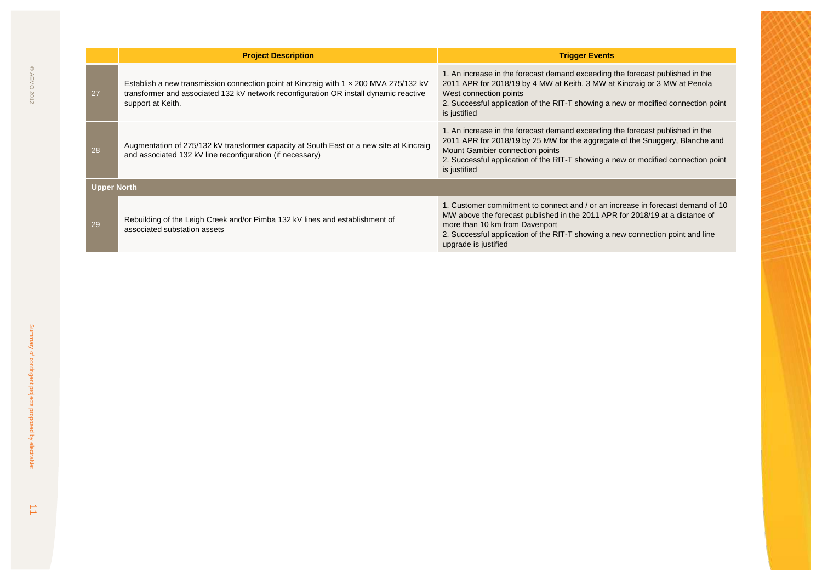|                    | <b>Project Description</b>                                                                                                                                                                                 | <b>Trigger Events</b>                                                                                                                                                                                                                                                                                       |
|--------------------|------------------------------------------------------------------------------------------------------------------------------------------------------------------------------------------------------------|-------------------------------------------------------------------------------------------------------------------------------------------------------------------------------------------------------------------------------------------------------------------------------------------------------------|
| 27                 | Establish a new transmission connection point at Kincraig with $1 \times 200$ MVA 275/132 kV<br>transformer and associated 132 kV network reconfiguration OR install dynamic reactive<br>support at Keith. | 1. An increase in the forecast demand exceeding the forecast published in the<br>2011 APR for 2018/19 by 4 MW at Keith, 3 MW at Kincraig or 3 MW at Penola<br>West connection points<br>2. Successful application of the RIT-T showing a new or modified connection point<br>is justified                   |
| 28                 | Augmentation of 275/132 kV transformer capacity at South East or a new site at Kincraig<br>and associated 132 kV line reconfiguration (if necessary)                                                       | 1. An increase in the forecast demand exceeding the forecast published in the<br>2011 APR for 2018/19 by 25 MW for the aggregate of the Snuggery, Blanche and<br>Mount Gambier connection points<br>2. Successful application of the RIT-T showing a new or modified connection point<br>is justified       |
| <b>Upper North</b> |                                                                                                                                                                                                            |                                                                                                                                                                                                                                                                                                             |
| 29                 | Rebuilding of the Leigh Creek and/or Pimba 132 kV lines and establishment of<br>associated substation assets                                                                                               | 1. Customer commitment to connect and / or an increase in forecast demand of 10<br>MW above the forecast published in the 2011 APR for 2018/19 at a distance of<br>more than 10 km from Davenport<br>2. Successful application of the RIT-T showing a new connection point and line<br>upgrade is justified |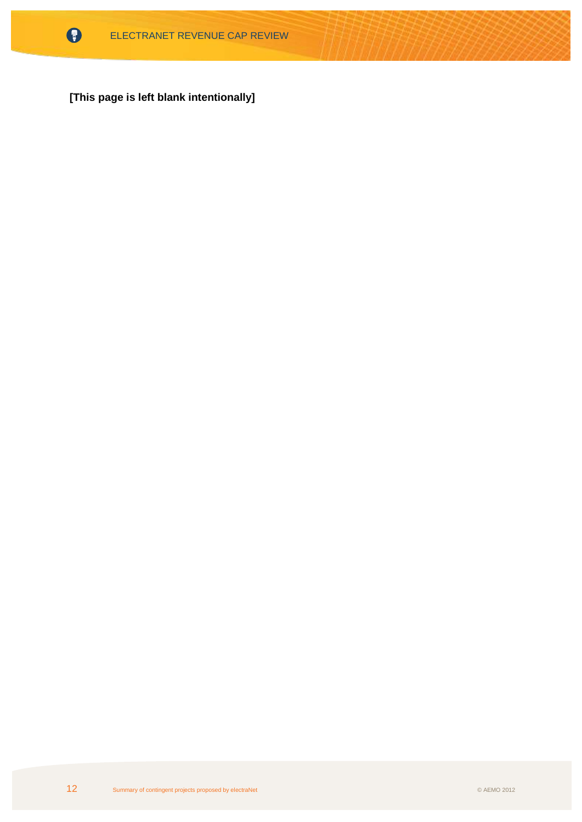**[This page is left blank intentionally]**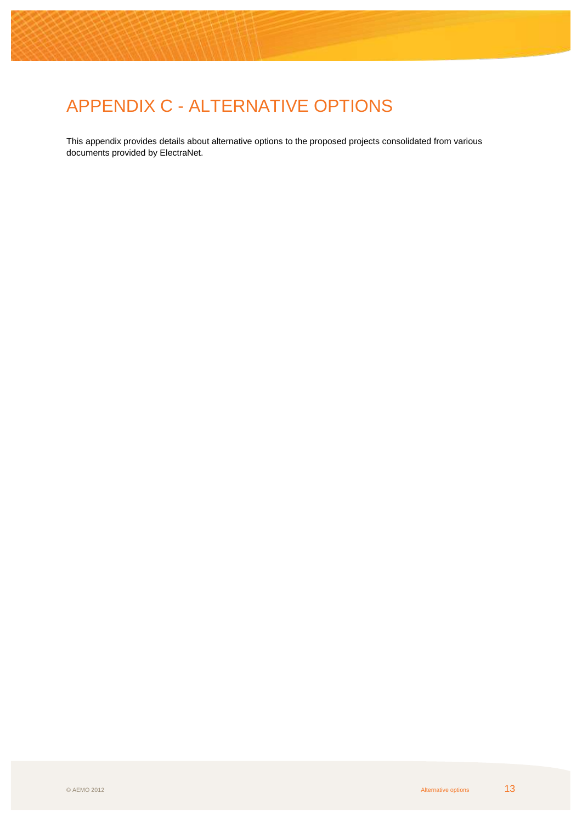# <span id="page-42-0"></span>APPENDIX C - ALTERNATIVE OPTIONS

This appendix provides details about alternative options to the proposed projects consolidated from various documents provided by ElectraNet.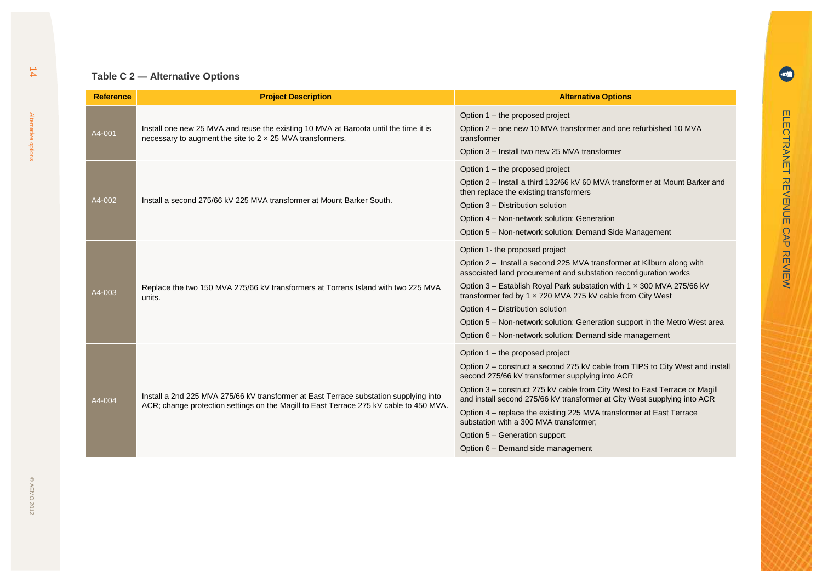### **Table C 2 — Alternative Options**

| <b>Reference</b> | <b>Project Description</b>                                                                                                                                                      | <b>Alternative Options</b>                                                                                                                                                                                                                                                                                                                                                                                                                                                                                           |
|------------------|---------------------------------------------------------------------------------------------------------------------------------------------------------------------------------|----------------------------------------------------------------------------------------------------------------------------------------------------------------------------------------------------------------------------------------------------------------------------------------------------------------------------------------------------------------------------------------------------------------------------------------------------------------------------------------------------------------------|
| A4-001           | Install one new 25 MVA and reuse the existing 10 MVA at Baroota until the time it is<br>necessary to augment the site to $2 \times 25$ MVA transformers.                        | Option 1 – the proposed project<br>Option 2 – one new 10 MVA transformer and one refurbished 10 MVA<br>transformer<br>Option 3 - Install two new 25 MVA transformer                                                                                                                                                                                                                                                                                                                                                  |
| A4-002           | Install a second 275/66 kV 225 MVA transformer at Mount Barker South.                                                                                                           | Option 1 - the proposed project<br>Option 2 – Install a third 132/66 kV 60 MVA transformer at Mount Barker and<br>then replace the existing transformers<br>Option 3 - Distribution solution<br>Option 4 - Non-network solution: Generation<br>Option 5 - Non-network solution: Demand Side Management                                                                                                                                                                                                               |
| A4-003           | Replace the two 150 MVA 275/66 kV transformers at Torrens Island with two 225 MVA<br>units.                                                                                     | Option 1- the proposed project<br>Option 2 - Install a second 225 MVA transformer at Kilburn along with<br>associated land procurement and substation reconfiguration works<br>Option 3 - Establish Royal Park substation with 1 x 300 MVA 275/66 kV<br>transformer fed by 1 x 720 MVA 275 kV cable from City West<br>Option 4 - Distribution solution<br>Option 5 - Non-network solution: Generation support in the Metro West area<br>Option 6 - Non-network solution: Demand side management                      |
| A4-004           | Install a 2nd 225 MVA 275/66 kV transformer at East Terrace substation supplying into<br>ACR; change protection settings on the Magill to East Terrace 275 kV cable to 450 MVA. | Option 1 – the proposed project<br>Option 2 - construct a second 275 kV cable from TIPS to City West and install<br>second 275/66 kV transformer supplying into ACR<br>Option 3 – construct 275 kV cable from City West to East Terrace or Magill<br>and install second 275/66 kV transformer at City West supplying into ACR<br>Option 4 – replace the existing 225 MVA transformer at East Terrace<br>substation with a 300 MVA transformer;<br>Option 5 - Generation support<br>Option 6 - Demand side management |

 $\frac{1}{4}$ 

E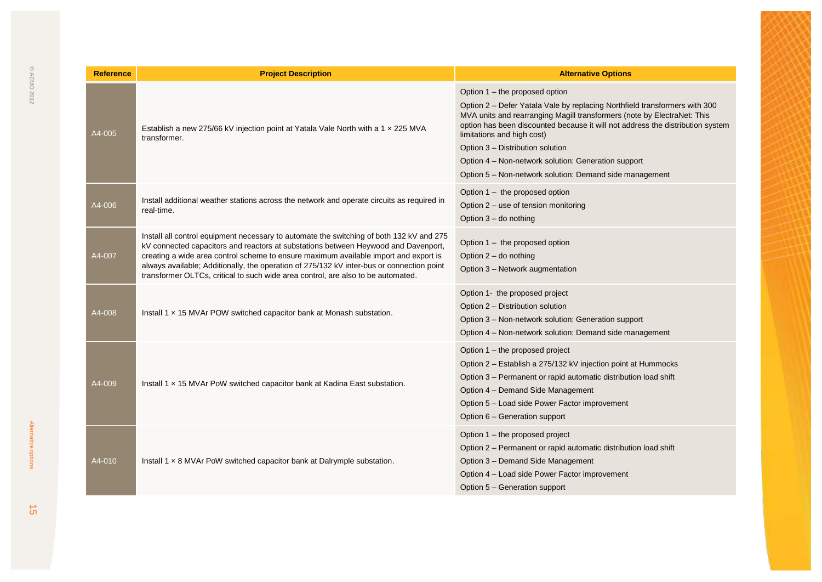| <b>Reference</b> | <b>Project Description</b>                                                                                                                                                                                                                                                                                                                                                                                                                              | <b>Alternative Options</b>                                                                                                                                                                                                                                                                                                                                                                                                                                    |
|------------------|---------------------------------------------------------------------------------------------------------------------------------------------------------------------------------------------------------------------------------------------------------------------------------------------------------------------------------------------------------------------------------------------------------------------------------------------------------|---------------------------------------------------------------------------------------------------------------------------------------------------------------------------------------------------------------------------------------------------------------------------------------------------------------------------------------------------------------------------------------------------------------------------------------------------------------|
| A4-005           | Establish a new 275/66 kV injection point at Yatala Vale North with a 1 x 225 MVA<br>transformer.                                                                                                                                                                                                                                                                                                                                                       | Option 1 - the proposed option<br>Option 2 – Defer Yatala Vale by replacing Northfield transformers with 300<br>MVA units and rearranging Magill transformers (note by ElectraNet: This<br>option has been discounted because it will not address the distribution system<br>limitations and high cost)<br>Option 3 - Distribution solution<br>Option 4 - Non-network solution: Generation support<br>Option 5 - Non-network solution: Demand side management |
| A4-006           | Install additional weather stations across the network and operate circuits as required in<br>real-time.                                                                                                                                                                                                                                                                                                                                                | Option 1 - the proposed option<br>Option 2 - use of tension monitoring<br>Option 3 - do nothing                                                                                                                                                                                                                                                                                                                                                               |
| A4-007           | Install all control equipment necessary to automate the switching of both 132 kV and 275<br>kV connected capacitors and reactors at substations between Heywood and Davenport,<br>creating a wide area control scheme to ensure maximum available import and export is<br>always available; Additionally, the operation of 275/132 kV inter-bus or connection point<br>transformer OLTCs, critical to such wide area control, are also to be automated. | Option 1 - the proposed option<br>Option $2 -$ do nothing<br>Option 3 - Network augmentation                                                                                                                                                                                                                                                                                                                                                                  |
| A4-008           | Install 1 x 15 MVAr POW switched capacitor bank at Monash substation.                                                                                                                                                                                                                                                                                                                                                                                   | Option 1- the proposed project<br>Option 2 - Distribution solution<br>Option 3 - Non-network solution: Generation support<br>Option 4 - Non-network solution: Demand side management                                                                                                                                                                                                                                                                          |
| A4-009           | Install 1 x 15 MVAr PoW switched capacitor bank at Kadina East substation.                                                                                                                                                                                                                                                                                                                                                                              | Option 1 - the proposed project<br>Option 2 - Establish a 275/132 kV injection point at Hummocks<br>Option 3 - Permanent or rapid automatic distribution load shift<br>Option 4 - Demand Side Management<br>Option 5 - Load side Power Factor improvement<br>Option 6 - Generation support                                                                                                                                                                    |
| A4-010           | Install $1 \times 8$ MVAr PoW switched capacitor bank at Dalrymple substation.                                                                                                                                                                                                                                                                                                                                                                          | Option 1 - the proposed project<br>Option 2 – Permanent or rapid automatic distribution load shift<br>Option 3 - Demand Side Management<br>Option 4 - Load side Power Factor improvement<br>Option 5 - Generation support                                                                                                                                                                                                                                     |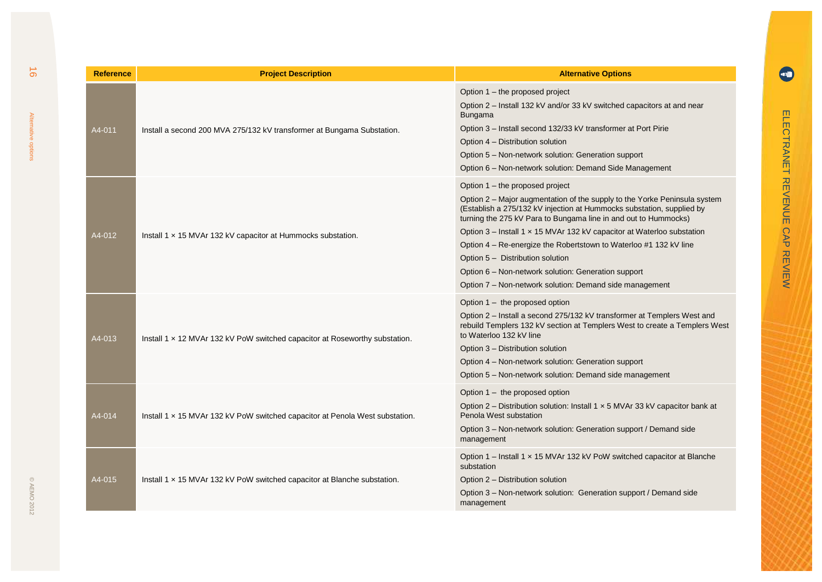| <b>Reference</b> | <b>Project Description</b>                                                         | <b>Alternative Options</b>                                                                                                                                                                                                                                                                                                                                                                                                                                                                                                                                    |
|------------------|------------------------------------------------------------------------------------|---------------------------------------------------------------------------------------------------------------------------------------------------------------------------------------------------------------------------------------------------------------------------------------------------------------------------------------------------------------------------------------------------------------------------------------------------------------------------------------------------------------------------------------------------------------|
| A4-011           | Install a second 200 MVA 275/132 kV transformer at Bungama Substation.             | Option 1 - the proposed project<br>Option 2 - Install 132 kV and/or 33 kV switched capacitors at and near<br><b>Bungama</b><br>Option 3 - Install second 132/33 kV transformer at Port Pirie<br>Option 4 – Distribution solution<br>Option 5 - Non-network solution: Generation support<br>Option 6 - Non-network solution: Demand Side Management                                                                                                                                                                                                            |
| A4-012           | Install 1 x 15 MVAr 132 kV capacitor at Hummocks substation.                       | Option 1 - the proposed project<br>Option 2 - Major augmentation of the supply to the Yorke Peninsula system<br>(Establish a 275/132 kV injection at Hummocks substation, supplied by<br>turning the 275 kV Para to Bungama line in and out to Hummocks)<br>Option 3 - Install 1 x 15 MVAr 132 kV capacitor at Waterloo substation<br>Option 4 – Re-energize the Robertstown to Waterloo #1 132 kV line<br>Option 5 - Distribution solution<br>Option 6 - Non-network solution: Generation support<br>Option 7 - Non-network solution: Demand side management |
| A4-013           | Install $1 \times 12$ MVAr 132 kV PoW switched capacitor at Roseworthy substation. | Option 1 - the proposed option<br>Option 2 - Install a second 275/132 kV transformer at Templers West and<br>rebuild Templers 132 kV section at Templers West to create a Templers West<br>to Waterloo 132 kV line<br>Option 3 – Distribution solution<br>Option 4 - Non-network solution: Generation support<br>Option 5 - Non-network solution: Demand side management                                                                                                                                                                                      |
| A4-014           | Install 1 x 15 MVAr 132 kV PoW switched capacitor at Penola West substation.       | Option 1 - the proposed option<br>Option 2 - Distribution solution: Install 1 x 5 MVAr 33 kV capacitor bank at<br>Penola West substation<br>Option 3 - Non-network solution: Generation support / Demand side<br>management                                                                                                                                                                                                                                                                                                                                   |
| A4-015           | Install 1 x 15 MVAr 132 kV PoW switched capacitor at Blanche substation.           | Option 1 – Install 1 x 15 MVAr 132 kV PoW switched capacitor at Blanche<br>substation<br>Option 2 - Distribution solution<br>Option 3 - Non-network solution: Generation support / Demand side<br>management                                                                                                                                                                                                                                                                                                                                                  |

 $\vec{5}$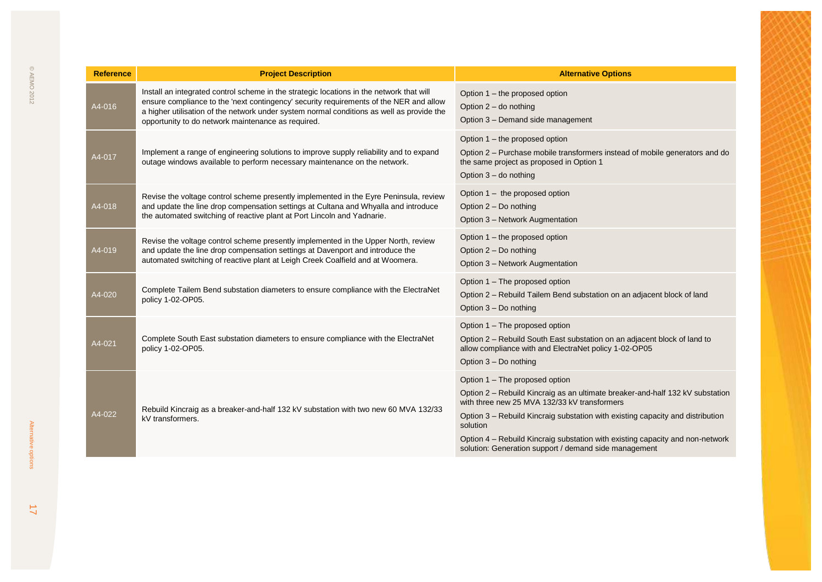$\overline{\phantom{a}}$ 

| <b>Reference</b> | <b>Project Description</b>                                                                                                                                                                                                                                                                                                            | <b>Alternative Options</b>                                                                                                                                                                                                                                                                                                                                                                              |
|------------------|---------------------------------------------------------------------------------------------------------------------------------------------------------------------------------------------------------------------------------------------------------------------------------------------------------------------------------------|---------------------------------------------------------------------------------------------------------------------------------------------------------------------------------------------------------------------------------------------------------------------------------------------------------------------------------------------------------------------------------------------------------|
| A4-016           | Install an integrated control scheme in the strategic locations in the network that will<br>ensure compliance to the 'next contingency' security requirements of the NER and allow<br>a higher utilisation of the network under system normal conditions as well as provide the<br>opportunity to do network maintenance as required. | Option 1 - the proposed option<br>Option 2 - do nothing<br>Option 3 - Demand side management                                                                                                                                                                                                                                                                                                            |
| A4-017           | Implement a range of engineering solutions to improve supply reliability and to expand<br>outage windows available to perform necessary maintenance on the network.                                                                                                                                                                   | Option 1 – the proposed option<br>Option 2 - Purchase mobile transformers instead of mobile generators and do<br>the same project as proposed in Option 1<br>Option 3 - do nothing                                                                                                                                                                                                                      |
| A4-018           | Revise the voltage control scheme presently implemented in the Eyre Peninsula, review<br>and update the line drop compensation settings at Cultana and Whyalla and introduce<br>the automated switching of reactive plant at Port Lincoln and Yadnarie.                                                                               | Option 1 - the proposed option<br>Option 2 - Do nothing<br>Option 3 - Network Augmentation                                                                                                                                                                                                                                                                                                              |
| A4-019           | Revise the voltage control scheme presently implemented in the Upper North, review<br>and update the line drop compensation settings at Davenport and introduce the<br>automated switching of reactive plant at Leigh Creek Coalfield and at Woomera.                                                                                 | Option 1 – the proposed option<br>Option 2 - Do nothing<br>Option 3 - Network Augmentation                                                                                                                                                                                                                                                                                                              |
| A4-020           | Complete Tailem Bend substation diameters to ensure compliance with the ElectraNet<br>policy 1-02-OP05.                                                                                                                                                                                                                               | Option 1 – The proposed option<br>Option 2 – Rebuild Tailem Bend substation on an adjacent block of land<br>Option 3 - Do nothing                                                                                                                                                                                                                                                                       |
| A4-021           | Complete South East substation diameters to ensure compliance with the ElectraNet<br>policy 1-02-OP05.                                                                                                                                                                                                                                | Option 1 – The proposed option<br>Option 2 – Rebuild South East substation on an adjacent block of land to<br>allow compliance with and ElectraNet policy 1-02-OP05<br>Option 3 - Do nothing                                                                                                                                                                                                            |
| A4-022           | Rebuild Kincraig as a breaker-and-half 132 kV substation with two new 60 MVA 132/33<br>kV transformers.                                                                                                                                                                                                                               | Option 1 - The proposed option<br>Option 2 - Rebuild Kincraig as an ultimate breaker-and-half 132 kV substation<br>with three new 25 MVA 132/33 kV transformers<br>Option 3 - Rebuild Kincraig substation with existing capacity and distribution<br>solution<br>Option 4 - Rebuild Kincraig substation with existing capacity and non-network<br>solution: Generation support / demand side management |